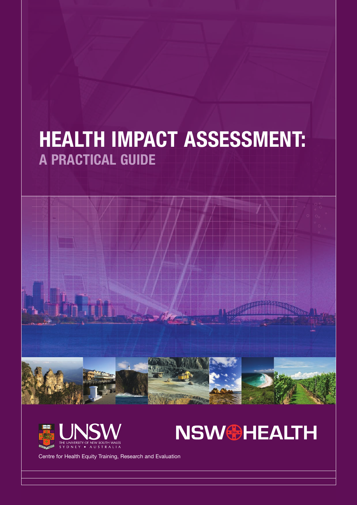# **HEALTH IMPACT ASSESSMENT: A PRACTICAL GUIDE**







Centre for Health Equity Training, Research and Evaluation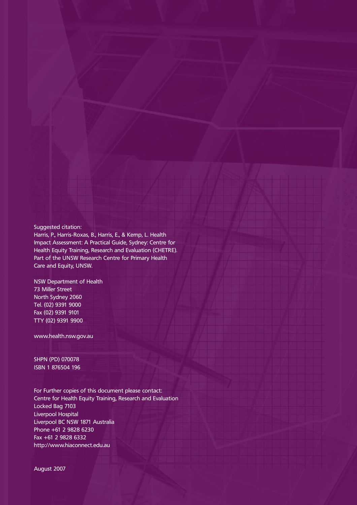#### Suggested citation:

Harris, P., Harris-Roxas, B., Harris, E., & Kemp, L. Health Impact Assessment: A Practical Guide, Sydney: Centre for Health Equity Training, Research and Evaluation (CHETRE). Part of the UNSW Research Centre for Primary Health Care and Equity, UNSW.

NSW Department of Health 73 Miller Street North Sydney 2060 Tel. (02) 9391 9000 Fax (02) 9391 9101 TTY (02) 9391 9900

www.health.nsw.gov.au

SHPN (PD) 070078 ISBN 1 876504 196

For Further copies of this document please contact: Centre for Health Equity Training, Research and Evaluation Locked Bag 7103 Liverpool Hospital Liverpool BC NSW 1871 Australia Phone +61 2 9828 6230 Fax +61 2 9828 6332 http://www.hiaconnect.edu.au

August 2007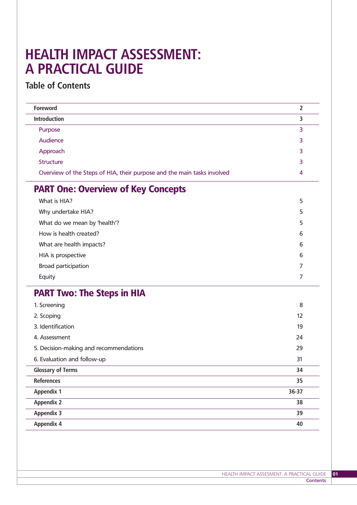# **HEALTH IMPACT ASSESSMENT: A PRACTICAL GUIDE**

# **Table of Contents**

| Foreword                                                                | $\overline{2}$ |
|-------------------------------------------------------------------------|----------------|
| <b>Introduction</b>                                                     | 3              |
| Purpose                                                                 | 3              |
| Audience                                                                | 3              |
| Approach                                                                | 3              |
| Structure                                                               | 3              |
| Overview of the Steps of HIA, their purpose and the main tasks involved | 4              |
| <b>PART One: Overview of Key Concepts</b>                               |                |
| What is HIA?                                                            | 5              |
| Why undertake HIA?                                                      | 5              |
| What do we mean by 'health'?                                            | 5              |
| How is health created?                                                  | 6              |
| What are health impacts?                                                | 6              |
| HIA is prospective                                                      | 6              |
| <b>Broad participation</b>                                              | 7              |
| Equity                                                                  | 7              |
| <b>PART Two: The Steps in HIA</b>                                       |                |
| 1. Screening                                                            | 8              |
| 2. Scoping                                                              | 12             |
| 3. Identification                                                       | 19             |
| 4. Assessment                                                           | 24             |
| 5. Decision-making and recommendations                                  | 29             |
| 6. Evaluation and follow-up                                             | 31             |
| <b>Glossary of Terms</b>                                                | 34             |
| <b>References</b>                                                       | 35             |
| <b>Appendix 1</b>                                                       | 36-37          |
| <b>Appendix 2</b>                                                       | 38             |
| <b>Appendix 3</b>                                                       | 39             |
| <b>Appendix 4</b>                                                       | 40             |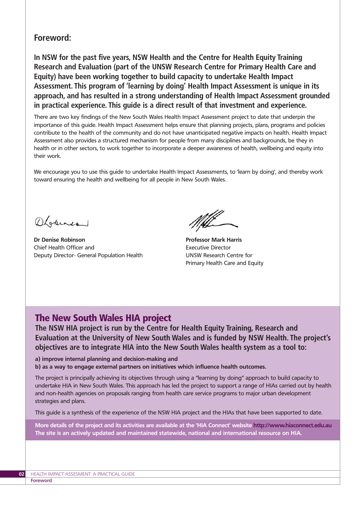## **Foreword:**

**In NSW for the past five years, NSW Health and the Centre for Health Equity Training Research and Evaluation (part of the UNSW Research Centre for Primary Health Care and Equity) have been working together to build capacity to undertake Health Impact Assessment. This program of 'learning by doing' Health Impact Assessment is unique in its approach, and has resulted in a strong understanding of Health Impact Assessment grounded in practical experience. This guide is a direct result of that investment and experience.**

There are two key findings of the New South Wales Health Impact Assessment project to date that underpin the importance of this guide. Health Impact Assessment helps ensure that planning projects, plans, programs and policies contribute to the health of the community and do not have unanticipated negative impacts on health. Health Impact Assessment also provides a structured mechanism for people from many disciplines and backgrounds, be they in health or in other sectors, to work together to incorporate a deeper awareness of health, wellbeing and equity into their work.

We encourage you to use this guide to undertake Health Impact Assessments, to 'learn by doing', and thereby work toward ensuring the health and wellbeing for all people in New South Wales.

OLakines

**Dr Denise Robinson** Chief Health Officer and Deputy Director- General Population Health

Mill

**Professor Mark Harris** Executive Director UNSW Research Centre for Primary Health Care and Equity

# The New South Wales HIA project

**The NSW HIA project is run by the Centre for Health Equity Training, Research and Evaluation at the University of New South Wales and is funded by NSW Health. The project's objectives are to integrate HIA into the New South Wales health system as a tool to:**

**a) improve internal planning and decision-making and b) as a way to engage external partners on initiatives which influence health outcomes.** 

The project is principally achieving its objectives through using a "learning by doing" approach to build capacity to undertake HIA in New South Wales. This approach has led the project to support a range of HIAs carried out by health and non-health agencies on proposals ranging from health care service programs to major urban development strategies and plans.

This guide is a synthesis of the experience of the NSW HIA project and the HIAs that have been supported to date.

**More details of the project and its activities are available at the 'HIA Connect' website http://www.hiaconnect.edu.au The site is an actively updated and maintained statewide, national and international resource on HIA.**

**Foreword**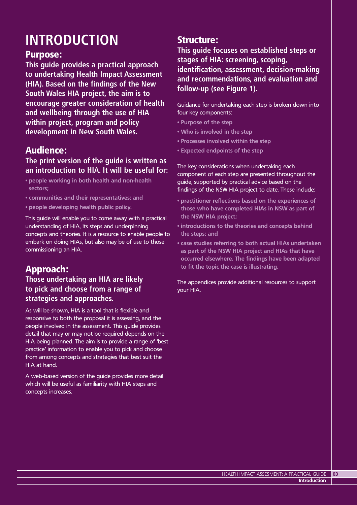# **INTRODUCTION**

# Purpose:

**This guide provides a practical approach to undertaking Health Impact Assessment (HIA). Based on the findings of the New South Wales HIA project, the aim is to encourage greater consideration of health and wellbeing through the use of HIA within project, program and policy development in New South Wales.**

# Audience:

# **The print version of the guide is written as an introduction to HIA. It will be useful for:**

- **people working in both health and non-health sectors;**
- **communities and their representatives; and**
- **people developing health public policy.**

This guide will enable you to come away with a practical understanding of HIA, its steps and underpinning concepts and theories. It is a resource to enable people to embark on doing HIAs, but also may be of use to those commissioning an HIA.

# Approach:

# **Those undertaking an HIA are likely to pick and choose from a range of strategies and approaches.**

As will be shown, HIA is a tool that is flexible and responsive to both the proposal it is assessing, and the people involved in the assessment. This guide provides detail that may or may not be required depends on the HIA being planned. The aim is to provide a range of 'best practice' information to enable you to pick and choose from among concepts and strategies that best suit the HIA at hand.

A web-based version of the guide provides more detail which will be useful as familiarity with HIA steps and concepts increases.

# Structure:

**This guide focuses on established steps or stages of HIA: screening, scoping, identification, assessment, decision-making and recommendations, and evaluation and follow-up (see Figure 1).**

Guidance for undertaking each step is broken down into four key components:

- **Purpose of the step**
- **Who is involved in the step**
- **Processes involved within the step**
- **Expected endpoints of the step**

The key considerations when undertaking each component of each step are presented throughout the guide, supported by practical advice based on the findings of the NSW HIA project to date. These include:

- **practitioner reflections based on the experiences of those who have completed HIAs in NSW as part of the NSW HIA project;**
- **introductions to the theories and concepts behind the steps; and**
- **case studies referring to both actual HIAs undertaken as part of the NSW HIA project and HIAs that have occurred elsewhere. The findings have been adapted to fit the topic the case is illustrating.**

The appendices provide additional resources to support your HIA.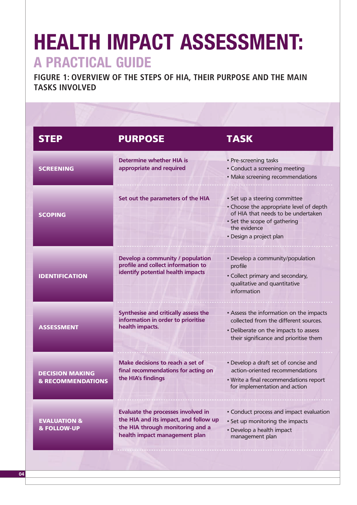# **HEALTH IMPACT ASSESSMENT: A PRACTICAL GUIDE**

**FIGURE 1: OVERVIEW OF THE STEPS OF HIA, THEIR PURPOSE AND THE MAIN TASKS INVOLVED**

| <b>STEP</b>                                            | <b>PURPOSE</b>                                                                                                                                          | <b>TASK</b>                                                                                                                                                                               |
|--------------------------------------------------------|---------------------------------------------------------------------------------------------------------------------------------------------------------|-------------------------------------------------------------------------------------------------------------------------------------------------------------------------------------------|
| <b>SCREENING</b>                                       | Determine whether HIA is<br>appropriate and required                                                                                                    | • Pre-screening tasks<br>• Conduct a screening meeting<br>• Make screening recommendations                                                                                                |
| <b>SCOPING</b>                                         | Set out the parameters of the HIA                                                                                                                       | · Set up a steering committee<br>• Choose the appropriate level of depth<br>of HIA that needs to be undertaken<br>• Set the scope of gathering<br>the evidence<br>· Design a project plan |
| <b>IDENTIFICATION</b>                                  | Develop a community / population<br>profile and collect information to<br>identify potential health impacts                                             | · Develop a community/population<br>profile<br>• Collect primary and secondary,<br>qualitative and quantitative<br>information                                                            |
| <b>ASSESSMENT</b>                                      | Synthesise and critically assess the<br>information in order to prioritise<br>health impacts.                                                           | • Assess the information on the impacts<br>collected from the different sources.<br>• Deliberate on the impacts to assess<br>their significance and prioritise them                       |
| <b>DECISION MAKING</b><br><b>&amp; RECOMMENDATIONS</b> | Make decisions to reach a set of<br>final recommendations for acting on<br>the HIA's findings                                                           | • Develop a draft set of concise and<br>action-oriented recommendations<br>. Write a final recommendations report<br>for implementation and action                                        |
| <b>EVALUATION &amp;</b><br><b>&amp; FOLLOW-UP</b>      | <b>Evaluate the processes involved in</b><br>the HIA and its impact, and follow up<br>the HIA through monitoring and a<br>health impact management plan | • Conduct process and impact evaluation<br>• Set up monitoring the impacts<br>• Develop a health impact<br>management plan                                                                |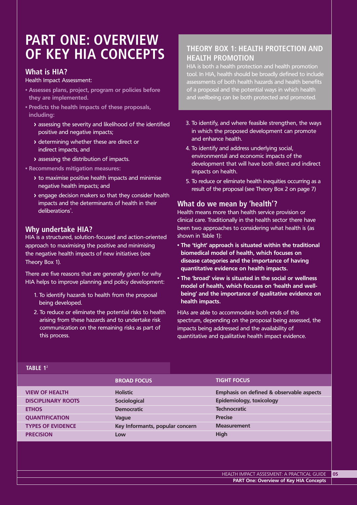# **PART ONE: OVERVIEW OF KEY HIA CONCEPTS**

### **What is HIA?**

Health Impact Assessment:

- **Assesses plans, project, program or policies before they are implemented.**
- **Predicts the health impacts of these proposals, including:**
	- **>** assessing the severity and likelihood of the identified positive and negative impacts;
	- **>** determining whether these are direct or indirect impacts, and
	- **>** assessing the distribution of impacts.

#### **• Recommends mitigation measures:**

- **>** to maximise positive health impacts and minimise negative health impacts; and
- **>** engage decision makers so that they consider health impacts and the determinants of health in their  $deliberations<sup>1</sup>$ .

### **Why undertake HIA?**

HIA is a structured, solution-focused and action-oriented approach to maximising the positive and minimising the negative health impacts of new initiatives (see Theory Box 1).

There are five reasons that are generally given for why HIA helps to improve planning and policy development:

- 1. To identify hazards to health from the proposal being developed.
- 2. To reduce or eliminate the potential risks to health arising from these hazards and to undertake risk communication on the remaining risks as part of this process.

## **THEORY BOX 1: HEALTH PROTECTION AND HEALTH PROMOTION**

HIA is both a health protection and health promotion tool. In HIA, health should be broadly defined to include assessments of both health hazards and health benefits of a proposal and the potential ways in which health and wellbeing can be both protected and promoted.

- 3. To identify, and where feasible strengthen, the ways in which the proposed development can promote and enhance health.
- 4. To identify and address underlying social, environmental and economic impacts of the development that will have both direct and indirect impacts on health.
- 5. To reduce or eliminate health inequities occurring as a result of the proposal (see Theory Box 2 on page 7)

### **What do we mean by 'health'?**

Health means more than health service provision or clinical care. Traditionally in the health sector there have been two approaches to considering what health is (as shown in Table 1):

- **The 'tight' approach is situated within the traditional biomedical model of health, which focuses on disease categories and the importance of having quantitative evidence on health impacts.**
- **The 'broad' view is situated in the social or wellness model of health, which focuses on 'health and wellbeing' and the importance of qualitative evidence on health impacts.**

HIAs are able to accommodate both ends of this spectrum, depending on the proposal being assessed, the impacts being addressed and the availability of quantitative and qualitative health impact evidence.

|                           | <b>BROAD FOCUS</b>              | <b>TIGHT FOCUS</b>                       |
|---------------------------|---------------------------------|------------------------------------------|
| <b>VIEW OF HEALTH</b>     | <b>Holistic</b>                 | Emphasis on defined & observable aspects |
| <b>DISCIPLINARY ROOTS</b> | Sociological                    | Epidemiology, toxicology                 |
| <b>ETHOS</b>              | <b>Democratic</b>               | <b>Technocratic</b>                      |
| <b>QUANTIFICATION</b>     | Vague                           | <b>Precise</b>                           |
| <b>TYPES OF EVIDENCE</b>  | Key Informants, popular concern | <b>Measurement</b>                       |
| <b>PRECISION</b>          | Low                             | High                                     |

#### **TABLE 1**<sup>2</sup>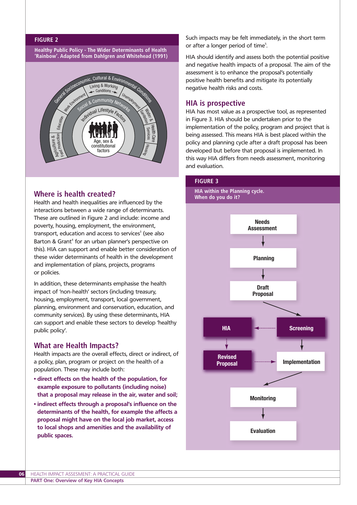#### **FIGURE 2**

**Healthy Public Policy - The Wider Determinants of Health 'Rainbow'. Adapted from Dahlgren and Whitehead (1991)** 



### **Where is health created?**

Health and health inequalities are influenced by the interactions between a wide range of determinants. These are outlined in Figure 2 and include: income and poverty, housing, employment, the environment, transport, education and access to services<sup>3</sup> (see also Barton & Grant<sup>4</sup> for an urban planner's perspective on this). HIA can support and enable better consideration of these wider determinants of health in the development and implementation of plans, projects, programs or policies.

In addition, these determinants emphasise the health impact of 'non-health' sectors (including treasury, housing, employment, transport, local government, planning, environment and conservation, education, and community services). By using these determinants, HIA can support and enable these sectors to develop 'healthy public policy'.

#### **What are Health Impacts?**

Health impacts are the overall effects, direct or indirect, of a policy, plan, program or project on the health of a population. These may include both:

- **direct effects on the health of the population, for example exposure to pollutants (including noise) that a proposal may release in the air, water and soil;**
- **indirect effects through a proposal's influence on the determinants of the health, for example the affects a proposal might have on the local job market, access to local shops and amenities and the availability of public spaces.**

Such impacts may be felt immediately, in the short term or after a longer period of time<sup>5</sup>. .

HIA should identify and assess both the potential positive and negative health impacts of a proposal. The aim of the assessment is to enhance the proposal's potentially positive health benefits and mitigate its potentially negative health risks and costs.

#### **HIA is prospective**

HIA has most value as a prospective tool, as represented in Figure 3. HIA should be undertaken prior to the implementation of the policy, program and project that is being assessed. This means HIA is best placed within the policy and planning cycle after a draft proposal has been developed but before that proposal is implemented. In this way HIA differs from needs assessment, monitoring and evaluation.

#### **FIGURE 3**

**HIA within the Planning cycle. When do you do it?**

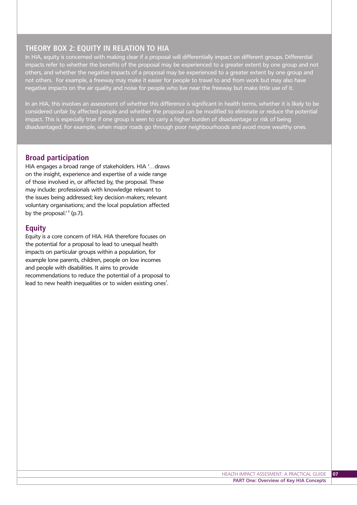### **THEORY BOX 2: EQUITY IN RELATION TO HIA**

In HIA, equity is concerned with making clear if a proposal will differentially impact on different groups. Differential impacts refer to whether the benefits of the proposal may be experienced to a greater extent by one group and not others, and whether the negative impacts of a proposal may be experienced to a greater extent by one group and not others. For example, a freeway may make it easier for people to travel to and from work but may also have negative impacts on the air quality and noise for people who live near the freeway but make little use of it.

In an HIA, this involves an assessment of whether this difference is significant in health terms, whether it is likely to be considered unfair by affected people and whether the proposal can be modified to eliminate or reduce the potential impact. This is especially true if one group is seen to carry a higher burden of disadvantage or risk of being disadvantaged. For example, when major roads go through poor neighbourhoods and avoid more wealthy ones.

### **Broad participation**

HIA engages a broad range of stakeholders. HIA '…draws on the insight, experience and expertise of a wide range of those involved in, or affected by, the proposal. These may include: professionals with knowledge relevant to the issues being addressed; key decision-makers; relevant voluntary organisations; and the local population affected by the proposal.'  $6$  (p.7).

#### **Equity**

Equity is a core concern of HIA. HIA therefore focuses on the potential for a proposal to lead to unequal health impacts on particular groups within a population, for example lone parents, children, people on low incomes and people with disabilities. It aims to provide recommendations to reduce the potential of a proposal to lead to new health inequalities or to widen existing ones<sup>7</sup>. .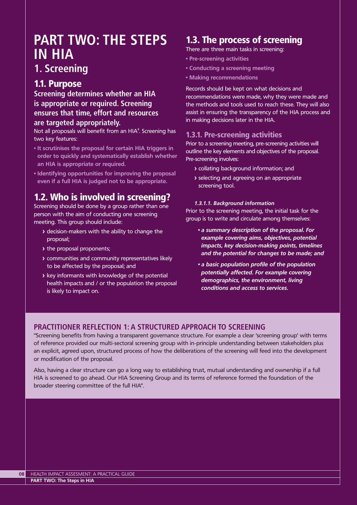# **PART TWO: THE STEPS IN HIA**

# **1. Screening**

# 1.1. Purpose

**Screening determines whether an HIA is appropriate or required. Screening ensures that time, effort and resources are targeted appropriately.**

Not all proposals will benefit from an HIA<sup>8</sup>. Screening has two key features:

- **It scrutinises the proposal for certain HIA triggers in order to quickly and systematically establish whether an HIA is appropriate or required.**
- **Identifying opportunities for improving the proposal even if a full HIA is judged not to be appropriate.**

# 1.2. Who is involved in screening?

Screening should be done by a group rather than one person with the aim of conducting one screening meeting. This group should include:

- **>** decision-makers with the ability to change the proposal;
- **>** the proposal proponents;
- **>** communities and community representatives likely to be affected by the proposal; and
- **>** key informants with knowledge of the potential health impacts and / or the population the proposal is likely to impact on.

# 1.3. The process of screening

There are three main tasks in screening:

- **Pre-screening activities**
- **Conducting a screening meeting**
- **Making recommendations**

Records should be kept on what decisions and recommendations were made, why they were made and the methods and tools used to reach these. They will also assist in ensuring the transparency of the HIA process and in making decisions later in the HIA.

## 1.3.1. Pre-screening activities

Prior to a screening meeting, pre-screening activities will outline the key elements and objectives of the proposal. Pre-screening involves:

- **>** collating background information; and
- **>** selecting and agreeing on an appropriate screening tool.

#### *1.3.1.1. Background information*

Prior to the screening meeting, the initial task for the group is to write and circulate among themselves:

- *a summary description of the proposal. For example covering aims, objectives, potential impacts, key decision-making points, timelines and the potential for changes to be made; and*
- *a basic population profile of the population potentially affected. For example covering demographics, the environment, living conditions and access to services.*

## **PRACTITIONER REFLECTION 1: A STRUCTURED APPROACH TO SCREENING**

"Screening benefits from having a transparent governance structure. For example a clear 'screening group' with terms of reference provided our multi-sectoral screening group with in-principle understanding between stakeholders plus an explicit, agreed upon, structured process of how the deliberations of the screening will feed into the development or modification of the proposal.

Also, having a clear structure can go a long way to establishing trust, mutual understanding and ownership if a full HIA is screened to go ahead. Our HIA Screening Group and its terms of reference formed the foundation of the broader steering committee of the full HIA".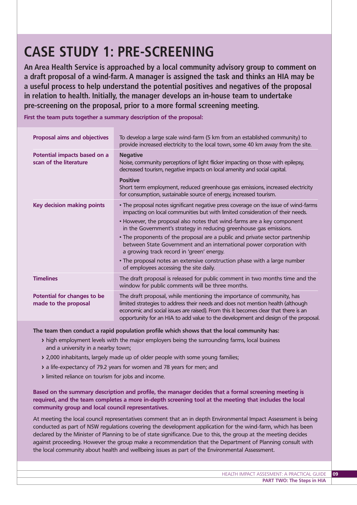# **CASE STUDY 1: PRE-SCREENING**

**An Area Health Service is approached by a local community advisory group to comment on a draft proposal of a wind-farm. A manager is assigned the task and thinks an HIA may be a useful process to help understand the potential positives and negatives of the proposal in relation to health. Initially, the manager develops an in-house team to undertake pre-screening on the proposal, prior to a more formal screening meeting.**

**First the team puts together a summary description of the proposal:** 

| <b>Proposal aims and objectives</b>                    | To develop a large scale wind-farm (5 km from an established community) to<br>provide increased electricity to the local town, some 40 km away from the site.                                                                                                                                                                         |
|--------------------------------------------------------|---------------------------------------------------------------------------------------------------------------------------------------------------------------------------------------------------------------------------------------------------------------------------------------------------------------------------------------|
| Potential impacts based on a<br>scan of the literature | <b>Negative</b><br>Noise, community perceptions of light flicker impacting on those with epilepsy,<br>decreased tourism, negative impacts on local amenity and social capital.                                                                                                                                                        |
|                                                        | <b>Positive</b><br>Short term employment, reduced greenhouse gas emissions, increased electricity<br>for consumption, sustainable source of energy, increased tourism.                                                                                                                                                                |
| <b>Key decision making points</b>                      | • The proposal notes significant negative press coverage on the issue of wind-farms<br>impacting on local communities but with limited consideration of their needs.                                                                                                                                                                  |
|                                                        | • However, the proposal also notes that wind-farms are a key component<br>in the Government's strategy in reducing greenhouse gas emissions.                                                                                                                                                                                          |
|                                                        | • The proponents of the proposal are a public and private sector partnership<br>between State Government and an international power corporation with<br>a growing track record in 'green' energy.                                                                                                                                     |
|                                                        | • The proposal notes an extensive construction phase with a large number<br>of employees accessing the site daily.                                                                                                                                                                                                                    |
| <b>Timelines</b>                                       | The draft proposal is released for public comment in two months time and the<br>window for public comments will be three months.                                                                                                                                                                                                      |
| Potential for changes to be<br>made to the proposal    | The draft proposal, while mentioning the importance of community, has<br>limited strategies to address their needs and does not mention health (although<br>economic and social issues are raised). From this it becomes clear that there is an<br>opportunity for an HIA to add value to the development and design of the proposal. |

**The team then conduct a rapid population profile which shows that the local community has:** 

- **>** high employment levels with the major employers being the surrounding farms, local business and a university in a nearby town;
- **>** 2,000 inhabitants, largely made up of older people with some young families;
- **>** a life-expectancy of 79.2 years for women and 78 years for men; and
- **>** limited reliance on tourism for jobs and income.

**Based on the summary description and profile, the manager decides that a formal screening meeting is required, and the team completes a more in-depth screening tool at the meeting that includes the local community group and local council representatives.** 

At meeting the local council representatives comment that an in depth Environmental Impact Assessment is being conducted as part of NSW regulations covering the development application for the wind-farm, which has been declared by the Minister of Planning to be of state significance. Due to this, the group at the meeting decides against proceeding. However the group make a recommendation that the Department of Planning consult with the local community about health and wellbeing issues as part of the Environmental Assessment.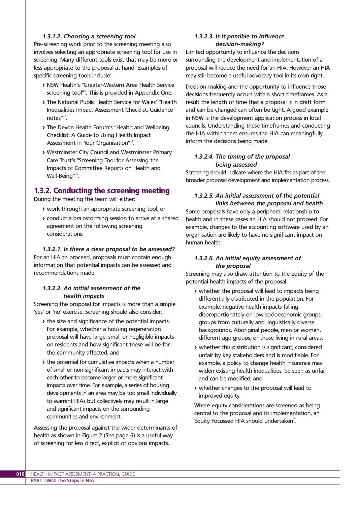#### *1.3.1.2. Choosing a screening tool*

Pre-screening work prior to the screening meeting also involves selecting an appropriate screening tool for use in screening. Many different tools exist that may be more or less appropriate to the proposal at hand. Examples of specific screening tools include:

- **>** NSW Health's "Greater-Western Area Health Service screening tool"<sup>9</sup>. This is provided in Appendix One.
- **>** The National Public Health Service for Wales' "Health Inequalities Impact Assessment Checklist: Guidance notes"<sup>10</sup>.
- **>** The Devon Health Forum's "Health and Wellbeing Checklist: A Guide to Using Health Impact Assessment in Your Organisation"<sup>11</sup>.
- **>** Westminster City Council and Westminster Primary Care Trust's "Screening Tool for Assessing the Impacts of Committee Reports on Health and Well-Being"<sup>12</sup>.

### 1.3.2. Conducting the screening meeting

During the meeting the team will either:

- **>** work through an appropriate screening tool; or
- **>** conduct a brainstorming session to arrive at a shared agreement on the following screening considerations.

#### *1.3.2.1. Is there a clear proposal to be assessed?*

For an HIA to proceed, proposals must contain enough information that potential impacts can be assessed and recommendations made.

#### *1.3.2.2. An initial assessment of the health impacts*

Screening the proposal for impacts is more than a simple 'yes' or 'no' exercise. Screening should also consider:

- **>** the size and significance of the potential impacts. For example, whether a housing regeneration proposal will have large, small or negligible impacts on residents and how significant these will be for the community affected; and
- **>** the potential for cumulative impacts when a number of small or non-significant impacts may interact with each other to become larger or more significant impacts over time. For example, a series of housing developments in an area may be too small individually to warrant HIAs but collectively may result in large and significant impacts on the surrounding communities and environment.

Assessing the proposal against the wider determinants of health as shown in Figure 2 (See page 6) is a useful way of screening for less direct, explicit or obvious impacts.

#### *1.3.2.3. Is it possible to influence decision-making?*

Limited opportunity to influence the decisions surrounding the development and implementation of a proposal will reduce the need for an HIA. However an HIA may still become a useful advocacy tool in its own right.

Decision-making and the opportunity to influence those decisions frequently occurs within short timeframes. As a result the length of time that a proposal is in draft form and can be changed can often be tight. A good example in NSW is the development application process in local councils. Understanding these timeframes and conducting the HIA within them ensures the HIA can meaningfully inform the decisions being made.

#### *1.3.2.4. The timing of the proposal being assessed*

Screening should indicate where the HIA fits as part of the broader proposal development and implementation process.

#### *1.3.2.5. An initial assessment of the potential links between the proposal and health*

Some proposals have only a peripheral relationship to health and in these cases an HIA should not proceed. For example, changes to the accounting software used by an organisation are likely to have no significant impact on human health.

#### *1.3.2.6. An initial equity assessment of the proposal*

Screening may also draw attention to the equity of the potential health impacts of the proposal:

- **>** whether the proposal will lead to impacts being differentially distributed in the population. For example, negative health impacts falling disproportionately on low socioeconomic groups, groups from culturally and linguistically diverse backgrounds, Aboriginal people, men or women, different age groups, or those living in rural areas.
- **>** whether this distribution is significant, considered unfair by key stakeholders and is modifiable. For example, a policy to change health insurance may widen existing health inequalities, be seen as unfair and can be modified; and
- **>** whether changes to the proposal will lead to improved equity.

Where equity considerations are screened as being central to the proposal and its implementation, an Equity Focussed HIA should undertaken<sup>7</sup>. .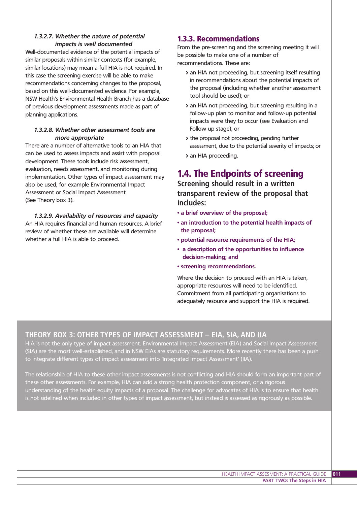#### *1.3.2.7. Whether the nature of potential impacts is well documented*

Well-documented evidence of the potential impacts of similar proposals within similar contexts (for example, similar locations) may mean a full HIA is not required. In this case the screening exercise will be able to make recommendations concerning changes to the proposal, based on this well-documented evidence. For example, NSW Health's Environmental Health Branch has a database of previous development assessments made as part of planning applications.

#### *1.3.2.8. Whether other assessment tools are more appropriate*

There are a number of alternative tools to an HIA that can be used to assess impacts and assist with proposal development. These tools include risk assessment, evaluation, needs assessment, and monitoring during implementation. Other types of impact assessment may also be used, for example Environmental Impact Assessment or Social Impact Assessment (See Theory box 3).

*1.3.2.9. Availability of resources and capacity* An HIA requires financial and human resources. A brief review of whether these are available will determine whether a full HIA is able to proceed.

### 1.3.3. Recommendations

From the pre-screening and the screening meeting it will be possible to make one of a number of recommendations. These are:

- **>** an HIA not proceeding, but screening itself resulting in recommendations about the potential impacts of the proposal (including whether another assessment tool should be used); or
- **>** an HIA not proceeding, but screening resulting in a follow-up plan to monitor and follow-up potential impacts were they to occur (see Evaluation and Follow up stage); or
- **>** the proposal not proceeding, pending further assessment, due to the potential severity of impacts; or
- **>** an HIA proceeding.

# 1.4. The Endpoints of screening

**Screening should result in a written transparent review of the proposal that includes:**

- **a brief overview of the proposal;**
- **an introduction to the potential health impacts of the proposal;**
- **potential resource requirements of the HIA;**
- **a description of the opportunities to influence decision-making; and**
- **screening recommendations.**

Where the decision to proceed with an HIA is taken, appropriate resources will need to be identified. Commitment from all participating organisations to adequately resource and support the HIA is required.

### **THEORY BOX 3: OTHER TYPES OF IMPACT ASSESSMENT – EIA, SIA, AND IIA**

HIA is not the only type of impact assessment. Environmental Impact Assessment (EIA) and Social Impact Assessment (SIA) are the most well-established, and in NSW EIAs are statutory requirements. More recently there has been a push to integrate different types of impact assessment into 'Integrated Impact Assessment' (IIA).

The relationship of HIA to these other impact assessments is not conflicting and HIA should form an important part of these other assessments. For example, HIA can add a strong health protection component, or a rigorous understanding of the health equity impacts of a proposal. The challenge for advocates of HIA is to ensure that health is not sidelined when included in other types of impact assessment, but instead is assessed as rigorously as possible.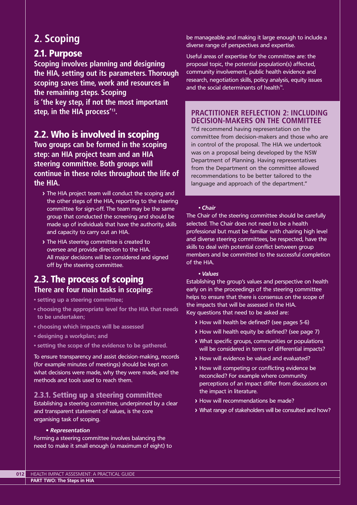# **2. Scoping**

# 2.1. Purpose

**Scoping involves planning and designing the HIA, setting out its parameters. Thorough scoping saves time, work and resources in the remaining steps. Scoping is 'the key step, if not the most important**

**step, in the HIA process'13.**

# 2.2. Who is involved in scoping

**Two groups can be formed in the scoping step: an HIA project team and an HIA steering committee. Both groups will continue in these roles throughout the life of the HIA.**

- **>** The HIA project team will conduct the scoping and the other steps of the HIA, reporting to the steering committee for sign-off. The team may be the same group that conducted the screening and should be made up of individuals that have the authority, skills and capacity to carry out an HIA.
- **>** The HIA steering committee is created to oversee and provide direction to the HIA. All major decisions will be considered and signed off by the steering committee.

# 2.3. The process of scoping **There are four main tasks in scoping:**

- **setting up a steering committee;**
- **choosing the appropriate level for the HIA that needs to be undertaken;**
- **choosing which impacts will be assessed**
- **designing a workplan; and**
- **setting the scope of the evidence to be gathered.**

To ensure transparency and assist decision-making, records (for example minutes of meetings) should be kept on what decisions were made, why they were made, and the methods and tools used to reach them.

## 2.3.1. Setting up a steering committee

Establishing a steering committee, underpinned by a clear and transparent statement of values, is the core organising task of scoping.

#### **•** *Representation*

Forming a steering committee involves balancing the need to make it small enough (a maximum of eight) to

be manageable and making it large enough to include a diverse range of perspectives and expertise.

Useful areas of expertise for the committee are: the proposal topic, the potential population(s) affected, community involvement, public health evidence and research, negotiation skills, policy analysis, equity issues and the social determinants of health $14$ .

### **PRACTITIONER REFLECTION 2: INCLUDING DECISION-MAKERS ON THE COMMITTEE**

"I'd recommend having representation on the committee from decision-makers and those who are in control of the proposal. The HIA we undertook was on a proposal being developed by the NSW Department of Planning. Having representatives from the Department on the committee allowed recommendations to be better tailored to the language and approach of the department."

#### *• Chair*

The Chair of the steering committee should be carefully selected. The Chair does not need to be a health professional but must be familiar with chairing high level and diverse steering committees, be respected, have the skills to deal with potential conflict between group members and be committed to the successful completion of the HIA.

#### *• Values*

Establishing the group's values and perspective on health early on in the proceedings of the steering committee helps to ensure that there is consensus on the scope of the impacts that will be assessed in the HIA. Key questions that need to be asked are:

- **>** How will health be defined? (see pages 5-6)
- **>** How will health equity be defined? (see page 7)
- **>** What specific groups, communities or populations will be considered in terms of differential impacts?
- **>** How will evidence be valued and evaluated?
- **>** How will competing or conflicting evidence be reconciled? For example where community perceptions of an impact differ from discussions on the impact in literature.
- **>** How will recommendations be made?
- **>** What range of stakeholders will be consulted and how?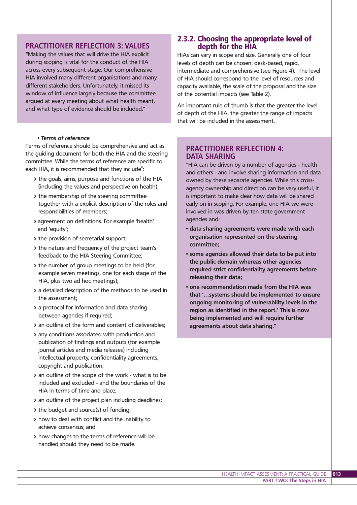### **PRACTITIONER REFLECTION 3: VALUES**

"Making the values that will drive the HIA explicit during scoping is vital for the conduct of the HIA across every subsequent stage. Our comprehensive HIA involved many different organisations and many different stakeholders. Unfortunately, it missed its window of influence largely because the committee argued at every meeting about what health meant, and what type of evidence should be included."

#### *• Terms of reference*

Terms of reference should be comprehensive and act as the guiding document for both the HIA and the steering committee. While the terms of reference are specific to each HIA, it is recommended that they include $^{\rm s}$ :

- **>** the goals, aims, purpose and functions of the HIA (including the values and perspective on health);
- **>** the membership of the steering committee together with a explicit description of the roles and responsibilities of members;
- **>** agreement on definitions. For example 'health' and 'equity';
- **>** the provision of secretarial support;
- **>** the nature and frequency of the project team's feedback to the HIA Steering Committee;
- **>** the number of group meetings to be held (for example seven meetings, one for each stage of the HIA, plus two ad hoc meetings);
- **>** a detailed description of the methods to be used in the assessment;
- **>** a protocol for information and data sharing between agencies if required;
- **>** an outline of the form and content of deliverables;
- **>** any conditions associated with production and publication of findings and outputs (for example journal articles and media releases) including intellectual property, confidentiality agreements, copyright and publication;
- **>** an outline of the scope of the work what is to be included and excluded - and the boundaries of the HIA in terms of time and place;
- **>** an outline of the project plan including deadlines;
- **>** the budget and source(s) of funding;
- **>** how to deal with conflict and the inability to achieve consensus; and
- **>** how changes to the terms of reference will be handled should they need to be made.

### 2.3.2. Choosing the appropriate level of depth for the HIA

HIAs can vary in scope and size. Generally one of four levels of depth can be chosen: desk-based, rapid, intermediate and comprehensive (see Figure 4). The level of HIA should correspond to the level of resources and capacity available, the scale of the proposal and the size of the potential impacts (see Table 2).

An important rule of thumb is that the greater the level of depth of the HIA, the greater the range of impacts that will be included in the assessment.

#### **PRACTITIONER REFLECTION 4: DATA SHARING**

"HIA can be driven by a number of agencies - health and others - and involve sharing information and data owned by these separate agencies. While this crossagency ownership and direction can be very useful, it is important to make clear how data will be shared early on in scoping. For example, one HIA we were involved in was driven by ten state government agencies and:

- **data sharing agreements were made with each organisation represented on the steering committee;**
- **some agencies allowed their data to be put into the public domain whereas other agencies required strict confidentiality agreements before releasing their data;**
- **one recommendation made from the HIA was that '…systems should be implemented to ensure ongoing monitoring of vulnerability levels in the region as identified in the report.' This is now being implemented and will require further agreements about data sharing."**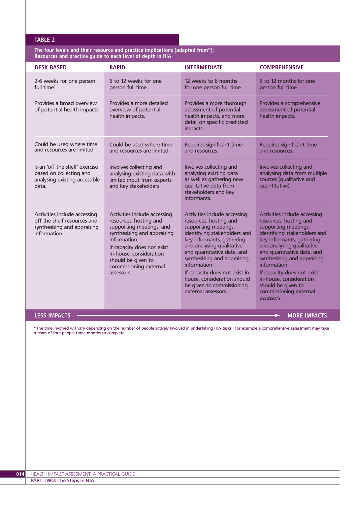#### **TABLE 2**

**The four levels and their resource and practice implications (adapted from15): Resources and practice guide to each level of depth in HIA**

| <b>DESK BASED</b>                                                                                          | <b>RAPID</b>                                                                                                                                                                                                                                             | <b>INTERMEDIATE</b>                                                                                                                                                                                                                                                                                                                                                        | <b>COMPREHENSIVE</b>                                                                                                                                                                                                                                                                                                                                                         |
|------------------------------------------------------------------------------------------------------------|----------------------------------------------------------------------------------------------------------------------------------------------------------------------------------------------------------------------------------------------------------|----------------------------------------------------------------------------------------------------------------------------------------------------------------------------------------------------------------------------------------------------------------------------------------------------------------------------------------------------------------------------|------------------------------------------------------------------------------------------------------------------------------------------------------------------------------------------------------------------------------------------------------------------------------------------------------------------------------------------------------------------------------|
| 2-6 weeks for one person<br>full time <sup>1</sup> .                                                       | 6 to 12 weeks for one<br>person full time.                                                                                                                                                                                                               | 12 weeks to 6 months<br>for one person full time.                                                                                                                                                                                                                                                                                                                          | 6 to 12 months for one<br>person full time.                                                                                                                                                                                                                                                                                                                                  |
| Provides a broad overview<br>of potential health impacts.                                                  | Provides a more detailed<br>overview of potential<br>health impacts.                                                                                                                                                                                     | Provides a more thorough<br>assessment of potential<br>health impacts, and more<br>detail on specific predicted<br>impacts.                                                                                                                                                                                                                                                | Provides a comprehensive<br>assessment of potential<br>health impacts.                                                                                                                                                                                                                                                                                                       |
| Could be used where time<br>and resources are limited.                                                     | Could be used where time<br>and resources are limited.                                                                                                                                                                                                   | Requires significant time<br>and resources.                                                                                                                                                                                                                                                                                                                                | Requires significant time<br>and resources.                                                                                                                                                                                                                                                                                                                                  |
| Is an 'off the shelf' exercise<br>based on collecting and<br>analysing existing accessible<br>data.        | Involves collecting and<br>analysing existing data with<br>limited input from experts<br>and key stakeholders                                                                                                                                            | Involves collecting and<br>analysing existing data<br>as well as gathering new<br>qualitative data from<br>stakeholders and key<br>informants.                                                                                                                                                                                                                             | Involves collecting and<br>analysing data from multiple<br>sources (qualitative and<br>quantitative)                                                                                                                                                                                                                                                                         |
| Activities include accessing<br>off the shelf resources and<br>synthesising and appraising<br>information. | Activities include accessing<br>resources, hosting and<br>supporting meetings, and<br>synthesising and appraising<br>information.<br>If capacity does not exist<br>in-house, consideration<br>should be given to<br>commissioning external<br>assessors. | Activities include accessing<br>resources, hosting and<br>supporting meetings,<br>identifying stakeholders and<br>key informants, gathering<br>and analysing qualitative<br>and quantitative data, and<br>synthesising and appraising<br>information.<br>If capacity does not exist in-<br>house, consideration should<br>be given to commissioning<br>external assessors. | Activities include accessing<br>resources, hosting and<br>supporting meetings,<br>identifying stakeholders and<br>key informants, gathering<br>and analysing qualitative<br>and quantitative data, and<br>synthesising and appraising<br>information.<br>If capacity does not exist<br>in-house, consideration<br>should be given to<br>commissioning external<br>assessors. |

#### **LESS IMPACTS NORE IMPACTS**

\*The time involved will vary depending on the number of people actively involved in undertaking HIA tasks. For example a comprehensive assessment may take a team of four people three months to complete.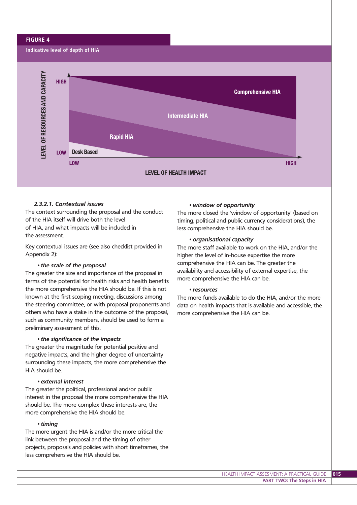#### **FIGURE 4**



#### *2.3.2.1. Contextual issues*

The context surrounding the proposal and the conduct of the HIA itself will drive both the level of HIA, and what impacts will be included in the assessment.

Key contextual issues are (see also checklist provided in Appendix 2):

#### *• the scale of the proposal*

The greater the size and importance of the proposal in terms of the potential for health risks and health benefits the more comprehensive the HIA should be. If this is not known at the first scoping meeting, discussions among the steering committee, or with proposal proponents and others who have a stake in the outcome of the proposal, such as community members, should be used to form a preliminary assessment of this.

#### *• the significance of the impacts*

The greater the magnitude for potential positive and negative impacts, and the higher degree of uncertainty surrounding these impacts, the more comprehensive the HIA should be.

#### *• external interest*

The greater the political, professional and/or public interest in the proposal the more comprehensive the HIA should be. The more complex these interests are, the more comprehensive the HIA should be.

#### *• timing*

The more urgent the HIA is and/or the more critical the link between the proposal and the timing of other projects, proposals and policies with short timeframes, the less comprehensive the HIA should be.

#### *• window of opportunity*

The more closed the 'window of opportunity' (based on timing, political and public currency considerations), the less comprehensive the HIA should be.

#### *• organisational capacity*

The more staff available to work on the HIA, and/or the higher the level of in-house expertise the more comprehensive the HIA can be. The greater the availability and accessibility of external expertise, the more comprehensive the HIA can be.

#### *• resources*

The more funds available to do the HIA, and/or the more data on health impacts that is available and accessible, the more comprehensive the HIA can be.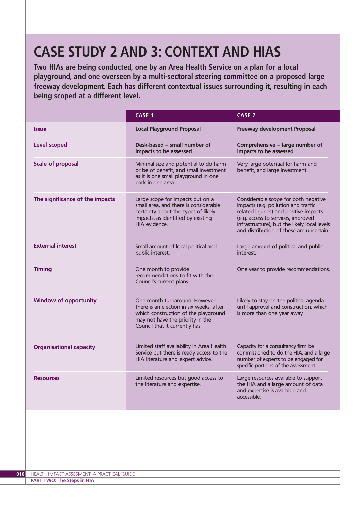# **CASE STUDY 2 AND 3: CONTEXT AND HIAS**

**Two HIAs are being conducted, one by an Area Health Service on a plan for a local playground, and one overseen by a multi-sectoral steering committee on a proposed large freeway development. Each has different contextual issues surrounding it, resulting in each being scoped at a different level.**

|                                 | CASE 1                                                                                                                                                                                  | <b>CASE 2</b>                                                                                                                                                                                                                                           |
|---------------------------------|-----------------------------------------------------------------------------------------------------------------------------------------------------------------------------------------|---------------------------------------------------------------------------------------------------------------------------------------------------------------------------------------------------------------------------------------------------------|
| <b>Issue</b>                    | <b>Local Playground Proposal</b>                                                                                                                                                        | Freeway development Proposal                                                                                                                                                                                                                            |
| <b>Level scoped</b>             | Desk-based - small number of<br>impacts to be assessed                                                                                                                                  | Comprehensive - large number of<br>impacts to be assessed                                                                                                                                                                                               |
| <b>Scale of proposal</b>        | Minimal size and potential to do harm<br>or be of benefit, and small investment<br>as it is one small playground in one<br>park in one area.                                            | Very large potential for harm and<br>benefit, and large investment.                                                                                                                                                                                     |
| The significance of the impacts | Large scope for impacts but on a<br>small area, and there is considerable<br>certainty about the types of likely<br>impacts, as identified by existing<br>HIA evidence.                 | Considerable scope for both negative<br>impacts (e.g. pollution and traffic<br>related injuries) and positive impacts<br>(e.g. access to services, improved<br>infrastructure), but the likely local levels<br>and distribution of these are uncertain. |
| <b>External interest</b>        | Small amount of local political and<br>public interest.                                                                                                                                 | Large amount of political and public<br>interest.                                                                                                                                                                                                       |
| <b>Timing</b>                   | One month to provide<br>recommendations to fit with the<br>Council's current plans.                                                                                                     | One year to provide recommendations.                                                                                                                                                                                                                    |
| <b>Window of opportunity</b>    | One month turnaround. However<br>there is an election in six weeks, after<br>which construction of the playground<br>may not have the priority in the<br>Council that it currently has. | Likely to stay on the political agenda<br>until approval and construction, which<br>is more than one year away.                                                                                                                                         |
| <b>Organisational capacity</b>  | Limited staff availability in Area Health<br>Service but there is ready access to the<br>HIA literature and expert advice.                                                              | Capacity for a consultancy firm be<br>commissioned to do the HIA, and a large<br>number of experts to be engaged for<br>specific portions of the assessment.                                                                                            |
| <b>Resources</b>                | Limited resources but good access to<br>the literature and expertise.                                                                                                                   | Large resources available to support<br>the HIA and a large amount of data<br>and expertise is available and<br>accessible.                                                                                                                             |
|                                 |                                                                                                                                                                                         |                                                                                                                                                                                                                                                         |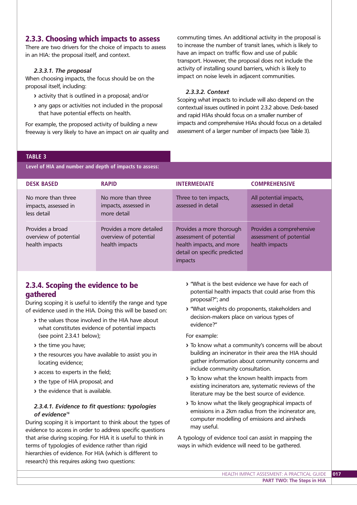### 2.3.3. Choosing which impacts to assess

There are two drivers for the choice of impacts to assess in an HIA: the proposal itself, and context.

#### *2.3.3.1. The proposal*

When choosing impacts, the focus should be on the proposal itself, including:

- **>** activity that is outlined in a proposal; and/or
- **>** any gaps or activities not included in the proposal that have potential effects on health.

For example, the proposed activity of building a new freeway is very likely to have an impact on air quality and commuting times. An additional activity in the proposal is to increase the number of transit lanes, which is likely to have an impact on traffic flow and use of public transport. However, the proposal does not include the activity of installing sound barriers, which is likely to impact on noise levels in adjacent communities.

#### *2.3.3.2. Context*

Scoping what impacts to include will also depend on the contextual issues outlined in point 2.3.2 above. Desk-based and rapid HIAs should focus on a smaller number of impacts and comprehensive HIAs should focus on a detailed assessment of a larger number of impacts (see Table 3).

#### **TABLE 3**

**Level of HIA and number and depth of impacts to assess:**

| <b>DESK BASED</b>                                           | <b>RAPID</b>                                                        | <b>INTERMEDIATE</b>                                                                                                        | <b>COMPREHENSIVE</b>                                                  |
|-------------------------------------------------------------|---------------------------------------------------------------------|----------------------------------------------------------------------------------------------------------------------------|-----------------------------------------------------------------------|
| No more than three<br>impacts, assessed in<br>less detail   | No more than three<br>impacts, assessed in<br>more detail           | Three to ten impacts,<br>assessed in detail                                                                                | All potential impacts,<br>assessed in detail                          |
| Provides a broad<br>overview of potential<br>health impacts | Provides a more detailed<br>overview of potential<br>health impacts | Provides a more thorough<br>assessment of potential<br>health impacts, and more<br>detail on specific predicted<br>impacts | Provides a comprehensive<br>assessment of potential<br>health impacts |

## 2.3.4. Scoping the evidence to be gathered

During scoping it is useful to identify the range and type of evidence used in the HIA. Doing this will be based on:

- **>** the values those involved in the HIA have about what constitutes evidence of potential impacts (see point 2.3.4.1 below);
- **>** the time you have;
- **>** the resources you have available to assist you in locating evidence;
- **>** access to experts in the field;
- **>** the type of HIA proposal; and
- **>** the evidence that is available.

#### *2.3.4.1. Evidence to fit questions: typologies of evidence16*

During scoping it is important to think about the types of evidence to access in order to address specific questions that arise during scoping. For HIA it is useful to think in terms of typologies of evidence rather than rigid hierarchies of evidence. For HIA (which is different to research) this requires asking two questions:

- **>** "What is the best evidence we have for each of potential health impacts that could arise from this proposal?"; and
- **>** "What weights do proponents, stakeholders and decision-makers place on various types of evidence?"

For example:

- **>** To know what a community's concerns will be about building an incinerator in their area the HIA should gather information about community concerns and include community consultation.
- **>** To know what the known health impacts from existing incinerators are, systematic reviews of the literature may be the best source of evidence.
- **>** To know what the likely geographical impacts of emissions in a 2km radius from the incinerator are, computer modelling of emissions and airsheds may useful.

A typology of evidence tool can assist in mapping the ways in which evidence will need to be gathered.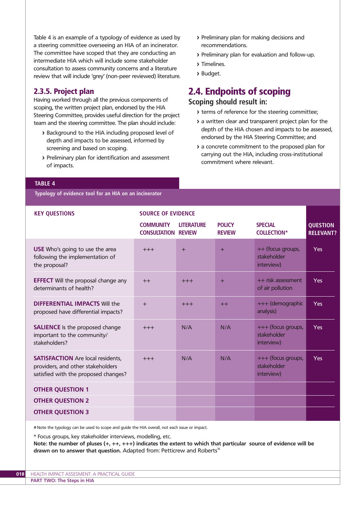Table 4 is an example of a typology of evidence as used by a steering committee overseeing an HIA of an incinerator. The committee have scoped that they are conducting an intermediate HIA which will include some stakeholder consultation to assess community concerns and a literature review that will include 'grey' (non-peer reviewed) literature.

## 2.3.5. Project plan

Having worked through all the previous components of scoping, the written project plan, endorsed by the HIA Steering Committee, provides useful direction for the project team and the steering committee. The plan should include:

- **>** Background to the HIA including proposed level of depth and impacts to be assessed, informed by screening and based on scoping.
- **>** Preliminary plan for identification and assessment of impacts.
- **>** Preliminary plan for making decisions and recommendations.
- **>** Preliminary plan for evaluation and follow-up.
- **>** Timelines.
- **>** Budget.

# 2.4. Endpoints of scoping

## **Scoping should result in:**

- **>** terms of reference for the steering committee;
- **>** a written clear and transparent project plan for the depth of the HIA chosen and impacts to be assessed, endorsed by the HIA Steering Committee; and
- **>** a concrete commitment to the proposed plan for carrying out the HIA, including cross-institutional commitment where relevant.

#### **TABLE 4**

**Typology of evidence tool for an HIA on an incinerator**

| <b>KEY QUESTIONS</b>                                                                                                  | <b>SOURCE OF EVIDENCE</b>                      |                   |                                |                                                 |                                     |  |  |  |
|-----------------------------------------------------------------------------------------------------------------------|------------------------------------------------|-------------------|--------------------------------|-------------------------------------------------|-------------------------------------|--|--|--|
|                                                                                                                       | <b>COMMUNITY</b><br><b>CONSULTATION REVIEW</b> | <b>LITERATURE</b> | <b>POLICY</b><br><b>REVIEW</b> | <b>SPECIAL</b><br><b>COLLECTION*</b>            | <b>QUESTION</b><br><b>RELEVANT?</b> |  |  |  |
| <b>USE</b> Who's going to use the area<br>following the implementation of<br>the proposal?                            | $+++$                                          | $+$               | $\pm$                          | ++ (focus groups,<br>stakeholder<br>interview)  | <b>Yes</b>                          |  |  |  |
| <b>EFFECT</b> Will the proposal change any<br>determinants of health?                                                 | $++$                                           | $+++$             | $+$                            | ++ risk assessment<br>of air pollution          | Yes                                 |  |  |  |
| <b>DIFFERENTIAL IMPACTS Will the</b><br>proposed have differential impacts?                                           | $+$                                            | $+++$             | $++$                           | +++ (demographic<br>analysis)                   | Yes                                 |  |  |  |
| <b>SALIENCE</b> Is the proposed change<br>important to the community/<br>stakeholders?                                | $+++$                                          | N/A               | N/A                            | +++ (focus groups,<br>stakeholder<br>interview) | <b>Yes</b>                          |  |  |  |
| <b>SATISFACTION</b> Are local residents,<br>providers, and other stakeholders<br>satisfied with the proposed changes? | $+++$                                          | N/A               | N/A                            | +++ (focus groups,<br>stakeholder<br>interview) | <b>Yes</b>                          |  |  |  |
| <b>OTHER QUESTION 1</b>                                                                                               |                                                |                   |                                |                                                 |                                     |  |  |  |
| <b>OTHER QUESTION 2</b>                                                                                               |                                                |                   |                                |                                                 |                                     |  |  |  |
| <b>OTHER QUESTION 3</b>                                                                                               |                                                |                   |                                |                                                 |                                     |  |  |  |

# Note the typology can be used to scope and guide the HIA overall, not each issue or impact.

\* Focus groups, key stakeholder interviews, modelling, etc.

**Note: the number of pluses (+, ++, +++) indicates the extent to which that particular source of evidence will be** drawn on to answer that question. Adapted from: Petticrew and Roberts<sup>16</sup>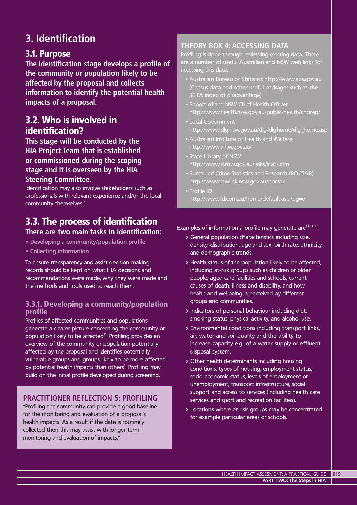# **3. Identification**

# 3.1. Purpose

**The identification stage develops a profile of the community or population likely to be affected by the proposal and collects information to identify the potential health impacts of a proposal.**

# 3.2. Who is involved in identification?

**This stage will be conducted by the HIA Project Team that is established or commissioned during the scoping stage and it is overseen by the HIA Steering Committee.**

Identification may also involve stakeholders such as professionals with relevant experience and/or the local community themselves<sup>17</sup>.

# 3.3. The process of identification

**There are two main tasks in identification:**

- **Developing a community/population profile**
- **Collecting information**

To ensure transparency and assist decision-making, records should be kept on what HIA decisions and recommendations were made, why they were made and the methods and tools used to reach them.

## 3.3.1. Developing a community/population profile

Profiles of affected communities and populations generate a clearer picture concerning the community or population likely to be affected<sup>15</sup>. Profiling provides an overview of the community or population potentially affected by the proposal and identifies potentially vulnerable groups and groups likely to be more affected by potential health impacts than others<sup>7</sup>. Profiling may build on the initial profile developed during screening.

## **PRACTITIONER REFLECTION 5: PROFILING**

"Profiling the community can provide a good baseline for the monitoring and evaluation of a proposal's health impacts. As a result if the data is routinely collected then this may assist with longer term monitoring and evaluation of impacts."

# **THEORY BOX 4: ACCESSING DATA**

Profiling is done through reviewing existing data. There are a number of useful Australian and NSW web links for accessing this data:

- Australian Bureau of Statistics http://www.abs.gov.au (Census data and other useful packages such as the SEIFA index of disadvantage)
- Report of the NSW Chief Health Officer http://www.health.nsw.gov.au/public-health/chorep/
- Local Government http://www.dlg.nsw.gov.au/dlg/dlghome/dlg\_home.asp
- Australian Institute of Health and Welfare http://www.aihw.gov.au/
- State Library of NSW http://www.sl.nsw.gov.au/links/stats.cfm
- Bureau of Crime Statistics and Research (BOCSAR) http://www.lawlink.nsw.gov.au/bocsar
- Profile ID http://www.id.com.au/home/default.asp?pg=7

Examples of information a profile may generate are $13, 14, 15$ :

- **>** General population characteristics including size, density, distribution, age and sex, birth rate, ethnicity and demographic trends.
- **>** Health status of the population likely to be affected, including at-risk groups such as children or older people, aged care facilities and schools, current causes of death, illness and disability, and how health and wellbeing is perceived by different groups and communities.
- **>** Indicators of personal behaviour including diet, smoking status, physical activity, and alcohol use.
- **>** Environmental conditions including transport links, air, water and soil quality and the ability to increase capacity e.g. of a water supply or effluent disposal system.
- **>** Other health determinants including housing conditions, types of housing, employment status, socio-economic status, levels of employment or unemployment, transport infrastructure, social support and access to services (including health care services and sport and recreation facilities).
- **>** Locations where at risk-groups may be concentrated for example particular areas or schools.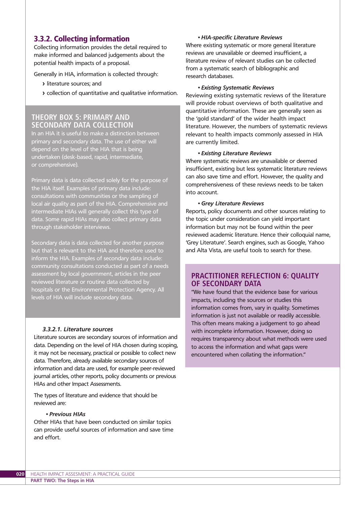### 3.3.2. Collecting information

Collecting information provides the detail required to make informed and balanced judgements about the potential health impacts of a proposal.

Generally in HIA, information is collected through:

- **>** literature sources; and
- **>** collection of quantitative and qualitative information.

### **THEORY BOX 5: PRIMARY AND SECONDARY DATA COLLECTION**

In an HIA it is useful to make a distinction between primary and secondary data. The use of either will depend on the level of the HIA that is being undertaken (desk-based, rapid, intermediate, or comprehensive).

Primary data is data collected solely for the purpose of the HIA itself. Examples of primary data include: consultations with communities or the sampling of local air quality as part of the HIA. Comprehensive and intermediate HIAs will generally collect this type of data. Some rapid HIAs may also collect primary data through stakeholder interviews.

Secondary data is data collected for another purpose but that is relevant to the HIA and therefore used to inform the HIA. Examples of secondary data include: community consultations conducted as part of a needs assessment by local government, articles in the peer reviewed literature or routine data collected by hospitals or the Environmental Protection Agency. All levels of HIA will include secondary data.

#### *3.3.2.1. Literature sources*

Literature sources are secondary sources of information and data. Depending on the level of HIA chosen during scoping, it may not be necessary, practical or possible to collect new data. Therefore, already available secondary sources of information and data are used, for example peer-reviewed journal articles, other reports, policy documents or previous HIAs and other Impact Assessments.

The types of literature and evidence that should be reviewed are:

#### *• Previous HIAs*

Other HIAs that have been conducted on similar topics can provide useful sources of information and save time and effort.

#### *• HIA-specific Literature Reviews*

Where existing systematic or more general literature reviews are unavailable or deemed insufficient, a literature review of relevant studies can be collected from a systematic search of bibliographic and research databases.

#### *• Existing Systematic Reviews*

Reviewing existing systematic reviews of the literature will provide robust overviews of both qualitative and quantitative information. These are generally seen as the 'gold standard' of the wider health impact literature. However, the numbers of systematic reviews relevant to health impacts commonly assessed in HIA are currently limited.

#### *• Existing Literature Reviews*

Where systematic reviews are unavailable or deemed insufficient, existing but less systematic literature reviews can also save time and effort. However, the quality and comprehensiveness of these reviews needs to be taken into account.

#### *• Grey Literature Reviews*

Reports, policy documents and other sources relating to the topic under consideration can yield important information but may not be found within the peer reviewed academic literature. Hence their colloquial name, 'Grey Literature'. Search engines, such as Google, Yahoo and Alta Vista, are useful tools to search for these.

#### **PRACTITIONER REFLECTION 6: QUALITY OF SECONDARY DATA**

"We have found that the evidence base for various impacts, including the sources or studies this information comes from, vary in quality. Sometimes information is just not available or readily accessible. This often means making a judgement to go ahead with incomplete information. However, doing so requires transparency about what methods were used to access the information and what gaps were encountered when collating the information."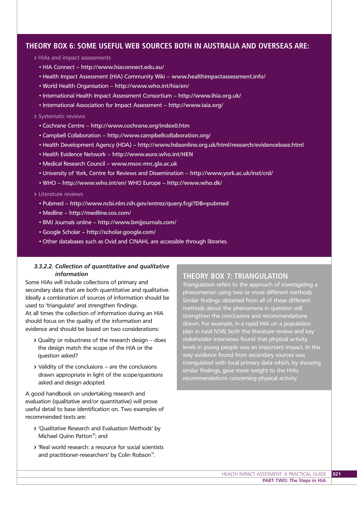### **THEORY BOX 6: SOME USEFUL WEB SOURCES BOTH IN AUSTRALIA AND OVERSEAS ARE:**

- **>** HIAs and impact assessments
	- HIA Connect **http://www.hiaconnect.edu.au/**
	- Health Impact Assessment (HIA) Community Wiki **www.healthimpactassessment.info/**
	- World Health Organisation **http://www.who.int/hia/en/**
	- International Health Impact Assessment Consortium **http://www.ihia.org.uk/**
	- International Association for Impact Assessment **http://www.iaia.org/**

#### **>** Systematic reviews

- Cochrane Centre **http://www.cochrane.org/index0.htm**
- Campbell Collaboration **http://www.campbellcollaboration.org/**
- Health Development Agency (HDA) **http://www.hdaonline.org.uk/html/research/evidencebase.html**
- Health Evidence Network **http://www.euro.who.int/HEN**
- Medical Research Council **www.msoc-mrc.gla.ac.uk**
- University of York, Centre for Reviews and Dissemination **http://www.york.ac.uk/inst/crd/**
- WHO **http://www.who.int/en/** WHO Europe **http://www.who.dk/**

#### **>** Literature reviews

- Pubmed **http://www.ncbi.nlm.nih.gov/entrez/query.fcgi?DB=pubmed**
- Medline **http://medline.cos.com/**
- BMJ Journals online **http://www.bmjjournals.com/**
- Google Scholar **http://scholar.google.com/**
- Other databases such as Ovid and CINAHL are accessible through libraries.

#### *3.3.2.2. Collection of quantitative and qualitative information*

Some HIAs will include collections of primary and secondary data that are both quantitative and qualitative. Ideally a combination of sources of information should be used to 'triangulate' and strengthen findings. At all times the collection of information during an HIA should focus on the quality of the information and evidence and should be based on two considerations:

- **>** Quality or robustness of the research design does the design match the scope of the HIA or the question asked?
- **>** Validity of the conclusions are the conclusions drawn appropriate in light of the scope/questions asked and design adopted.

A good handbook on undertaking research and evaluation (qualitative and/or quantitative) will prove useful detail to base identification on. Two examples of recommended texts are:

- **>** 'Qualitative Research and Evaluation Methods' by Michael Quinn Patton<sup>18</sup>; and
- **>** 'Real world research: a resource for social scientists and practitioner-researchers' by Colin Robson<sup>19</sup>.

### **THEORY BOX 7: TRIANGULATION**

Triangulation refers to the approach of investigating a phenomenon using two or more different methods. Similar findings obtained from all of these different methods about the phenomena in question will strengthen the conclusions and recommendations drawn. For example, in a rapid HIA on a population plan in rural NSW, both the literature review and key stakeholder interviews found that physical activity levels in young people was an important impact. In this way evidence found from secondary sources was triangulated with local primary data which, by showing similar findings, gave more weight to the HIAs recommendations concerning physical activity.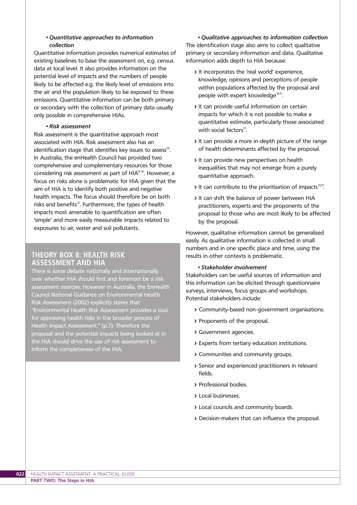#### *• Quantitative approaches to information collection*

Quantitative information provides numerical estimates of existing baselines to base the assessment on, e.g. census data at local level. It also provides information on the potential level of impacts and the numbers of people likely to be affected e.g. the likely level of emissions into the air and the population likely to be exposed to these emissions. Quantitative information can be both primary or secondary with the collection of primary data usually only possible in comprehensive HIAs.

#### *• Risk assessment*

Risk assessment is the quantitative approach most associated with HIA. Risk assessment also has an identification stage that identifies key issues to assess<sup>20</sup>. In Australia, the enHealth Council has provided two comprehensive and complementary resources for those considering risk assessment as part of HIA<sup>13,20</sup>. However, a focus on risks alone is problematic for HIA given that the aim of HIA is to identify both positive and negative health impacts. The focus should therefore be on both risks and benefits<sup>13</sup>. Furthermore, the types of health impacts most amenable to quantification are often 'simple' and more easily measurable impacts related to exposures to air, water and soil pollutants.

#### **THEORY BOX 8: HEALTH RISK ASSESSMENT AND HIA**

There is some debate nationally and internationally over whether HIA should first and foremost be a risk assessment exercise. However in Australia, the EnHealth Council National Guidance on Environmental Health Risk Assessment (2002) explicitly states that "Environmental Health Risk Assessment provides a tool for appraising health risks in the broader process of Health Impact Assessment." (p.7). Therefore the proposal and the potential impacts being looked at in the HIA should drive the use of risk assessment to inform the completeness of the HIA.

*• Qualitative approaches to information collection* The identification stage also aims to collect qualitative primary or secondary information and data. Qualitative information adds depth to HIA because:

- **>** It incorporates the 'real world' experience, knowledge, opinions and perceptions of people within populations affected by the proposal and people with expert knowledge<sup>14,15</sup>.
- **>** It can provide useful information on certain impacts for which it is not possible to make a quantitative estimate, particularly those associated with social factors $17$ .
- **>** It can provide a more in-depth picture of the range of health determinants affected by the proposal.
- **>** It can provide new perspectives on health inequalities that may not emerge from a purely quantitative approach.
- **>** It can contribute to the prioritisation of impacts<sup>14,15</sup>.
- **>** It can shift the balance of power between HIA practitioners, experts and the proponents of the proposal to those who are most likely to be affected by the proposal.

However, qualitative information cannot be generalised easily. As qualitative information is collected in small numbers and in one specific place and time, using the results in other contexts is problematic.

#### *• Stakeholder involvement*

Stakeholders can be useful sources of information and this information can be elicited through questionnaire surveys, interviews, focus groups and workshops. Potential stakeholders include:

- **>** Community-based non-government organisations.
- **>** Proponents of the proposal.
- **>** Government agencies.
- **>** Experts from tertiary education institutions.
- **>** Communities and community groups.
- **>** Senior and experienced practitioners in relevant fields.
- **>** Professional bodies.
- **>** Local businesses.
- **>** Local councils and community boards.
- **>** Decision-makers that can influence the proposal.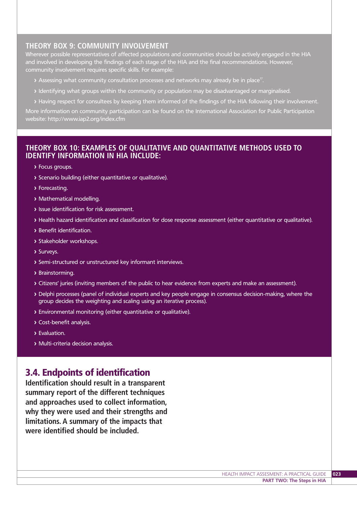## **THEORY BOX 9: COMMUNITY INVOLVEMENT**

Wherever possible representatives of affected populations and communities should be actively engaged in the HIA and involved in developing the findings of each stage of the HIA and the final recommendations. However, community involvement requires specific skills. For example:

- **>** Assessing what community consultation processes and networks may already be in place17.
- **>** Identifying what groups within the community or population may be disadvantaged or marginalised.
- **>** Having respect for consultees by keeping them informed of the findings of the HIA following their involvement.

More information on community participation can be found on the International Association for Public Participation website: http://www.iap2.org/index.cfm

### **THEORY BOX 10: EXAMPLES OF QUALITATIVE AND QUANTITATIVE METHODS USED TO IDENTIFY INFORMATION IN HIA INCLUDE:**

- **>** Focus groups.
- **>** Scenario building (either quantitative or qualitative).
- **>** Forecasting.
- **>** Mathematical modelling.
- **>** Issue identification for risk assessment.
- **>** Health hazard identification and classification for dose response assessment (either quantitative or qualitative).
- **>** Benefit identification.
- **>** Stakeholder workshops.
- **>** Surveys.
- **>** Semi-structured or unstructured key informant interviews.
- **>** Brainstorming.
- **>** Citizens' juries (inviting members of the public to hear evidence from experts and make an assessment).
- **>** Delphi processes (panel of individual experts and key people engage in consensus decision-making, where the group decides the weighting and scaling using an iterative process).
- **>** Environmental monitoring (either quantitative or qualitative).
- **>** Cost-benefit analysis.
- **>** Evaluation.
- **>** Multi-criteria decision analysis.

# 3.4. Endpoints of identification

**Identification should result in a transparent summary report of the different techniques and approaches used to collect information, why they were used and their strengths and limitations. A summary of the impacts that were identified should be included..**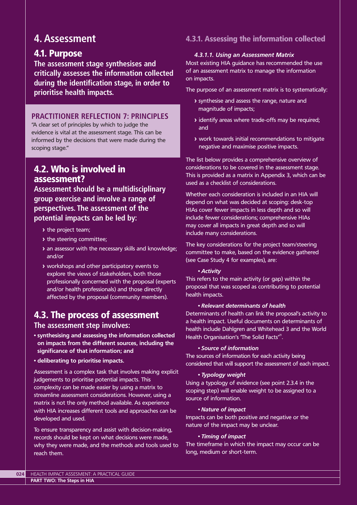# **4. Assessment**

# 4.1. Purpose

**The assessment stage synthesises and critically assesses the information collected during the identification stage, in order to prioritise health impacts.**

## **PRACTITIONER REFLECTION 7: PRINCIPLES**

"A clear set of principles by which to judge the evidence is vital at the assessment stage. This can be informed by the decisions that were made during the scoping stage."

# 4.2. Who is involved in assessment?

**Assessment should be a multidisciplinary group exercise and involve a range of perspectives. The assessment of the potential impacts can be led by:**

- **>** the project team;
- **>** the steering committee;
- **>** an assessor with the necessary skills and knowledge; and/or
- **>** workshops and other participatory events to explore the views of stakeholders, both those professionally concerned with the proposal (experts and/or health professionals) and those directly affected by the proposal (community members).

# 4.3. The process of assessment **The assessment step involves:**

- **synthesising and assessing the information collected on impacts from the different sources, including the significance of that information; and**
- **deliberating to prioritise impacts.**

Assessment is a complex task that involves making explicit judgements to prioritise potential impacts. This complexity can be made easier by using a matrix to streamline assessment considerations. However, using a matrix is not the only method available. As experience with HIA increases different tools and approaches can be developed and used.

To ensure transparency and assist with decision-making, records should be kept on what decisions were made, why they were made, and the methods and tools used to reach them.

# 4.3.1. Assessing the information collected

#### *4.3.1.1. Using an Assessment Matrix*

Most existing HIA guidance has recommended the use of an assessment matrix to manage the information on impacts.

The purpose of an assessment matrix is to systematically:

- **>** synthesise and assess the range, nature and magnitude of impacts;
- **>** identify areas where trade-offs may be required; and
- **>** work towards initial recommendations to mitigate negative and maximise positive impacts.

The list below provides a comprehensive overview of considerations to be covered in the assessment stage. This is provided as a matrix in Appendix 3, which can be used as a checklist of considerations.

Whether each consideration is included in an HIA will depend on what was decided at scoping: desk-top HIAs cover fewer impacts in less depth and so will include fewer considerations; comprehensive HIAs may cover all impacts in great depth and so will include many considerations.

The key considerations for the project team/steering committee to make, based on the evidence gathered (see Case Study 4 for examples), are:

#### *• Activity*

This refers to the main activity (or gap) within the proposal that was scoped as contributing to potential health impacts.

#### *• Relevant determinants of health*

Determinants of health can link the proposal's activity to a health impact. Useful documents on determinants of health include Dahlgren and Whitehead 3 and the World Health Organisation's 'The Solid Facts'<sup>21</sup>.

#### *• Source of information*

The sources of information for each activity being considered that will support the assessment of each impact.

#### *• Typology weight*

Using a typology of evidence (see point 2.3.4 in the scoping step) will enable weight to be assigned to a source of information.

#### *• Nature of impact*

Impacts can be both positive and negative or the nature of the impact may be unclear.

#### *• Timing of impact*

The timeframe in which the impact may occur can be long, medium or short-term.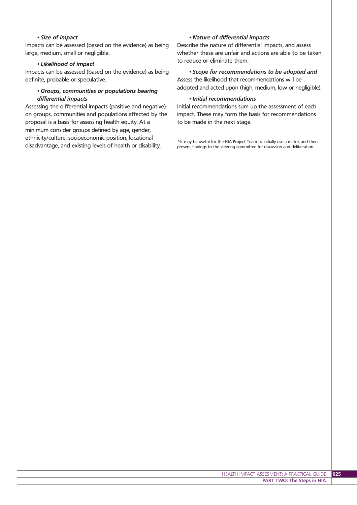#### *• Size of impact*

Impacts can be assessed (based on the evidence) as being large, medium, small or negligible.

#### *• Likelihood of impact*

Impacts can be assessed (based on the evidence) as being definite, probable or speculative.

#### *• Groups, communities or populations bearing differential impacts*

Assessing the differential impacts (positive and negative) on groups, communities and populations affected by the proposal is a basis for assessing health equity. At a minimum consider groups defined by age, gender, ethnicity/culture, socioeconomic position, locational disadvantage, and existing levels of health or disability.

#### *• Nature of differential impacts*

Describe the nature of differential impacts, and assess whether these are unfair and actions are able to be taken to reduce or eliminate them.

*• Scope for recommendations to be adopted and* Assess the likelihood that recommendations will be adopted and acted upon (high, medium, low or negligible).

#### *• Initial recommendations*

Initial recommendations sum up the assessment of each impact. These may form the basis for recommendations to be made in the next stage.

^It may be useful for the HIA Project Team to initially use a matrix and then present findings to the steering committee for discussion and deliberation.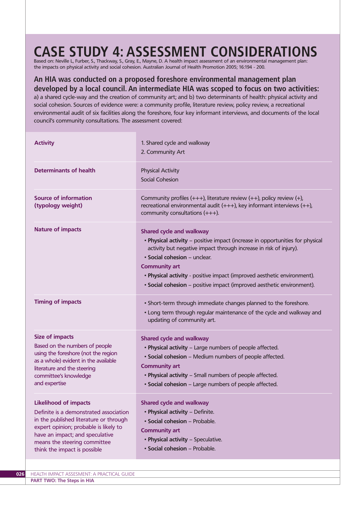# **CASE STUDY 4: ASSESSMENT CONSIDERATIONS**

Based on: Neville L, Furber, S., Thackway, S., Gray, E., Mayne, D. A health impact assessment of an environmental management plan: the impacts on physical activity and social cohesion. Australian Journal of Health Promotion 2005; 16:194 - 200.

### **An HIA was conducted on a proposed foreshore environmental management plan developed by a local council. An intermediate HIA was scoped to focus on two activities:**

a) a shared cycle-way and the creation of community art; and b) two determinants of health: physical activity and social cohesion. Sources of evidence were: a community profile, literature review, policy review, a recreational environmental audit of six facilities along the foreshore, four key informant interviews, and documents of the local council's community consultations. The assessment covered:

| <b>Activity</b>                                                                                                                                                                                                                                              | 1. Shared cycle and walkway<br>2. Community Art                                                                                                                                                                                                                                                                                                                                                   |
|--------------------------------------------------------------------------------------------------------------------------------------------------------------------------------------------------------------------------------------------------------------|---------------------------------------------------------------------------------------------------------------------------------------------------------------------------------------------------------------------------------------------------------------------------------------------------------------------------------------------------------------------------------------------------|
| <b>Determinants of health</b>                                                                                                                                                                                                                                | <b>Physical Activity</b><br><b>Social Cohesion</b>                                                                                                                                                                                                                                                                                                                                                |
| <b>Source of information</b><br>(typology weight)                                                                                                                                                                                                            | Community profiles $(+++)$ , literature review $(++)$ , policy review $(+)$ ,<br>recreational environmental audit $(+++)$ , key informant interviews $(++)$ ,<br>community consultations $(++)$ .                                                                                                                                                                                                 |
| <b>Nature of impacts</b>                                                                                                                                                                                                                                     | <b>Shared cycle and walkway</b><br>. Physical activity - positive impact (increase in opportunities for physical<br>activity but negative impact through increase in risk of injury).<br>· Social cohesion - unclear.<br><b>Community art</b><br>. Physical activity - positive impact (improved aesthetic environment).<br>· Social cohesion - positive impact (improved aesthetic environment). |
| <b>Timing of impacts</b>                                                                                                                                                                                                                                     | • Short-term through immediate changes planned to the foreshore.<br>. Long term through regular maintenance of the cycle and walkway and<br>updating of community art.                                                                                                                                                                                                                            |
| <b>Size of impacts</b><br>Based on the numbers of people<br>using the foreshore (not the region<br>as a whole) evident in the available<br>literature and the steering<br>committee's knowledge<br>and expertise                                             | <b>Shared cycle and walkway</b><br>. Physical activity - Large numbers of people affected.<br>· Social cohesion - Medium numbers of people affected.<br><b>Community art</b><br>. Physical activity - Small numbers of people affected.<br>• Social cohesion - Large numbers of people affected.                                                                                                  |
| <b>Likelihood of impacts</b><br>Definite is a demonstrated association<br>in the published literature or through<br>expert opinion; probable is likely to<br>have an impact; and speculative<br>means the steering committee<br>think the impact is possible | <b>Shared cycle and walkway</b><br>· Physical activity - Definite.<br>· Social cohesion - Probable.<br><b>Community art</b><br>• Physical activity - Speculative.<br>· Social cohesion - Probable.                                                                                                                                                                                                |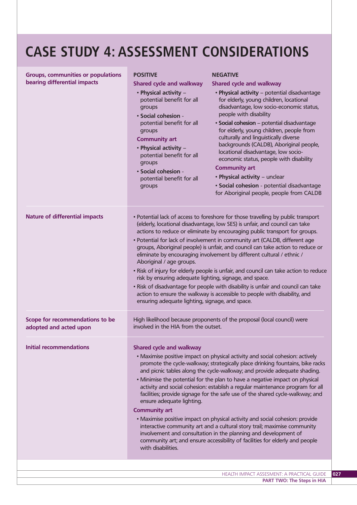# **CASE STUDY 4: ASSESSMENT CONSIDERATIONS**

| <b>Groups, communities or populations</b><br>bearing differential impacts | <b>POSITIVE</b><br><b>Shared cycle and walkway</b><br>· Physical activity -<br>potential benefit for all<br>groups<br>• Social cohesion -<br>potential benefit for all<br>groups<br><b>Community art</b><br>· Physical activity -<br>potential benefit for all<br>groups<br>· Social cohesion -<br>potential benefit for all<br>groups                                                                                                                                                                                                                                                                                                                                                                                                                                                                                                                                                                                   | <b>NEGATIVE</b><br><b>Shared cycle and walkway</b><br>· Physical activity - potential disadvantage<br>for elderly, young children, locational<br>disadvantage, low socio-economic status,<br>people with disability<br>· Social cohesion - potential disadvantage<br>for elderly, young children, people from<br>culturally and linguistically diverse<br>backgrounds (CALDB), Aboriginal people,<br>locational disadvantage, low socio-<br>economic status, people with disability<br><b>Community art</b><br>• Physical activity - unclear<br>· Social cohesion - potential disadvantage<br>for Aboriginal people, people from CALDB |  |
|---------------------------------------------------------------------------|--------------------------------------------------------------------------------------------------------------------------------------------------------------------------------------------------------------------------------------------------------------------------------------------------------------------------------------------------------------------------------------------------------------------------------------------------------------------------------------------------------------------------------------------------------------------------------------------------------------------------------------------------------------------------------------------------------------------------------------------------------------------------------------------------------------------------------------------------------------------------------------------------------------------------|----------------------------------------------------------------------------------------------------------------------------------------------------------------------------------------------------------------------------------------------------------------------------------------------------------------------------------------------------------------------------------------------------------------------------------------------------------------------------------------------------------------------------------------------------------------------------------------------------------------------------------------|--|
| <b>Nature of differential impacts</b>                                     | • Potential lack of access to foreshore for those travelling by public transport<br>(elderly, locational disadvantage, low SES) is unfair, and council can take<br>actions to reduce or eliminate by encouraging public transport for groups.<br>• Potential for lack of involvement in community art (CALDB, different age<br>groups, Aboriginal people) is unfair, and council can take action to reduce or<br>eliminate by encouraging involvement by different cultural / ethnic /<br>Aboriginal / age groups.<br>. Risk of injury for elderly people is unfair, and council can take action to reduce<br>risk by ensuring adequate lighting, signage, and space.<br>. Risk of disadvantage for people with disability is unfair and council can take<br>action to ensure the walkway is accessible to people with disability, and<br>ensuring adequate lighting, signage, and space.                                |                                                                                                                                                                                                                                                                                                                                                                                                                                                                                                                                                                                                                                        |  |
| Scope for recommendations to be<br>adopted and acted upon                 | High likelihood because proponents of the proposal (local council) were<br>involved in the HIA from the outset.                                                                                                                                                                                                                                                                                                                                                                                                                                                                                                                                                                                                                                                                                                                                                                                                          |                                                                                                                                                                                                                                                                                                                                                                                                                                                                                                                                                                                                                                        |  |
| <b>Initial recommendations</b>                                            | <b>Shared cycle and walkway</b><br>• Maximise positive impact on physical activity and social cohesion: actively<br>promote the cycle-walkway; strategically place drinking fountains, bike racks<br>and picnic tables along the cycle-walkway; and provide adequate shading.<br>. Minimise the potential for the plan to have a negative impact on physical<br>activity and social cohesion: establish a regular maintenance program for all<br>facilities; provide signage for the safe use of the shared cycle-walkway; and<br>ensure adequate lighting.<br><b>Community art</b><br>• Maximise positive impact on physical activity and social cohesion: provide<br>interactive community art and a cultural story trail; maximise community<br>involvement and consultation in the planning and development of<br>community art; and ensure accessibility of facilities for elderly and people<br>with disabilities. |                                                                                                                                                                                                                                                                                                                                                                                                                                                                                                                                                                                                                                        |  |
|                                                                           |                                                                                                                                                                                                                                                                                                                                                                                                                                                                                                                                                                                                                                                                                                                                                                                                                                                                                                                          | HEALTH IMPACT ASSESMENT: A PRACTICAL GUIDE                                                                                                                                                                                                                                                                                                                                                                                                                                                                                                                                                                                             |  |
|                                                                           |                                                                                                                                                                                                                                                                                                                                                                                                                                                                                                                                                                                                                                                                                                                                                                                                                                                                                                                          |                                                                                                                                                                                                                                                                                                                                                                                                                                                                                                                                                                                                                                        |  |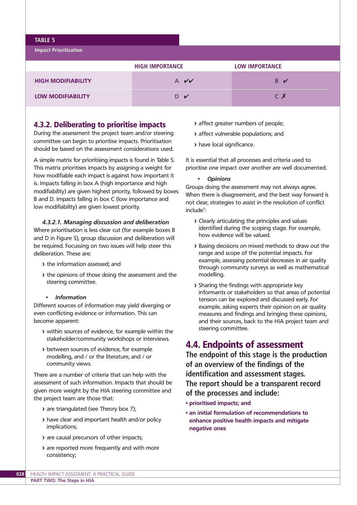#### **TABLE 5**

**Impact Prioritisation**

|                           | <b>HIGH IMPORTANCE</b> | <b>LOW IMPORTANCE</b> |
|---------------------------|------------------------|-----------------------|
| <b>HIGH MODIFIABILITY</b> | $A$ $V$                | B ✔                   |
| <b>LOW MODIFIABILITY</b>  | D V                    | C X                   |

### 4.3.2. Deliberating to prioritise impacts

During the assessment the project team and/or steering committee can begin to prioritise impacts. Prioritisation should be based on the assessment considerations used.

A simple matrix for prioritising impacts is found in Table 5. This matrix prioritises impacts by assigning a weight for how modifiable each impact is against how important it is. Impacts falling in box A (high importance and high modifiability) are given highest priority, followed by boxes B and D. Impacts falling in box C (low importance and low modifiability) are given lowest priority.

#### *4.3.2.1. Managing discussion and deliberation*

Where prioritisation is less clear cut (for example boxes B and D in Figure 5), group discussion and deliberation will be required. Focussing on two issues will help steer this deliberation. These are:

- **>** the information assessed; and
- **>** the opinions of those doing the assessment and the steering committee.

#### *• Information*

Different sources of information may yield diverging or even conflicting evidence or information. This can become apparent:

- **>** within sources of evidence, for example within the stakeholder/community workshops or interviews.
- **>** between sources of evidence, for example modelling, and / or the literature, and / or community views.

There are a number of criteria that can help with the assessment of such information. Impacts that should be given more weight by the HIA steering committee and the project team are those that:

- **>** are triangulated (see Theory box 7);
- **>** have clear and important health and/or policy implications;
- **>** are causal precursors of other impacts;
- **>** are reported more frequently and with more consistency;
- **>** affect greater numbers of people;
- **>** affect vulnerable populations; and
- **>** have local significance.

It is essential that all processes and criteria used to prioritise one impact over another are well documented.

*• Opinions*

Groups doing the assessment may not always agree. When there is disagreement, and the best way forward is not clear, strategies to assist in the resolution of conflict include<sup>6</sup>:

- **>** Clearly articulating the principles and values identified during the scoping stage. For example, how evidence will be valued.
- **>** Basing decisions on mixed methods to draw out the range and scope of the potential impacts. For example, assessing potential decreases in air quality through community surveys as well as mathematical modelling.
- **>** Sharing the findings with appropriate key informants or stakeholders so that areas of potential tension can be explored and discussed early. For example, asking experts their opinion on air quality measures and findings and bringing these opinions, and their sources, back to the HIA project team and steering committee.

# 4.4. Endpoints of assessment

**The endpoint of this stage is the production of an overview of the findings of the identification and assessment stages. The report should be a transparent record of the processes and include:**

- **prioritised impacts; and**
- **an initial formulation of recommendations to enhance positive health impacts and mitigate negative ones**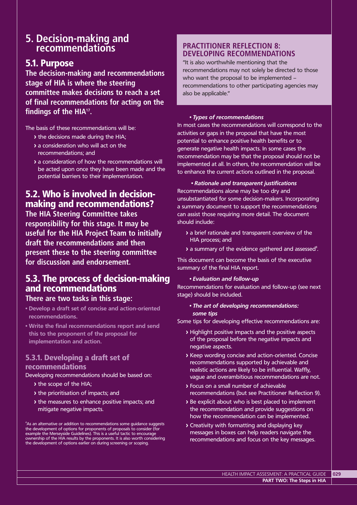# **5. Decision-making and recommendations**

# 5.1. Purpose

**The decision-making and recommendations stage of HIA is where the steering committee makes decisions to reach a set of final recommendations for acting on the findings of the HIA17.**

The basis of these recommendations will be:

- **>** the decisions made during the HIA;
- **>** a consideration who will act on the recommendations; and
- **>** a consideration of how the recommendations will be acted upon once they have been made and the potential barriers to their implementation.

# 5.2. Who is involved in decisionmaking and recommendations?

**The HIA Steering Committee takes responsibility for this stage. It may be useful for the HIA Project Team to initially draft the recommendations and then present these to the steering committee for discussion and endorsement.**

# 5.3. The process of decision-making and recommendations

### **There are two tasks in this stage:**

- **Develop a draft set of concise and action-oriented recommendations.**
- **Write the final recommendations report and send this to the proponent of the proposal for implementation and action.**

### 5.3.1. Developing a draft set of recommendations

Developing recommendations should be based on:

- **>** the scope of the HIA;
- **>** the prioritisation of impacts; and
- **>** the measures to enhance positive impacts; and mitigate negative impacts.

 $\mathrm{^{4}As}$  an alternative or addition to recommendations some guidance suggests the development of options for proponents of proposals to consider (for example the Merseyside Guidelines). This is a useful tactic to encourage ownership of the HIA results by the proponents. It is also worth considering the development of options earlier on during screening or scoping.

# **PRACTITIONER REFLECTION 8: DEVELOPING RECOMMENDATIONS**

"It is also worthwhile mentioning that the recommendations may not solely be directed to those who want the proposal to be implemented – recommendations to other participating agencies may also be applicable."

#### *• Types of recommendations*

In most cases the recommendations will correspond to the activities or gaps in the proposal that have the most potential to enhance positive health benefits or to generate negative health impacts. In some cases the recommendation may be that the proposal should not be implemented at all. In others, the recommendation will be to enhance the current actions outlined in the proposal.

*• Rationale and transparent justifications* Recommendations alone may be too dry and unsubstantiated for some decision-makers. Incorporating a summary document to support the recommendations can assist those requiring more detail. The document should include:

- **>** a brief rationale and transparent overview of the HIA process; and
- > a summary of the evidence gathered and assessed<sup>8</sup>.

This document can become the basis of the executive summary of the final HIA report.

#### *• Evaluation and follow-up*

Recommendations for evaluation and follow-up (see next stage) should be included.

#### *• The art of developing recommendations: some tips*

Some tips for developing effective recommendations are:

- **>** Highlight positive impacts and the positive aspects of the proposal before the negative impacts and negative aspects.
- **>** Keep wording concise and action-oriented. Concise recommendations supported by achievable and realistic actions are likely to be influential. Waffly, vague and overambitious recommendations are not.
- **>** Focus on a small number of achievable recommendations (but see Practitioner Reflection 9).
- **>** Be explicit about who is best placed to implement the recommendation and provide suggestions on how the recommendation can be implemented.
- **>** Creativity with formatting and displaying key messages in boxes can help readers navigate the recommendations and focus on the key messages.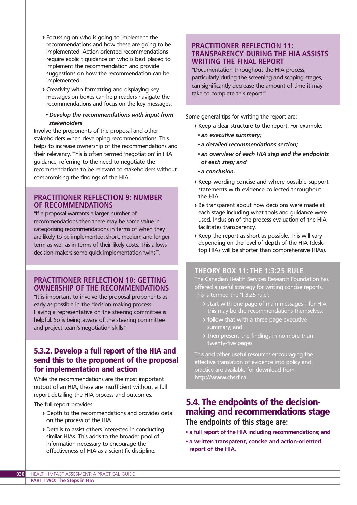- **>** Focussing on who is going to implement the recommendations and how these are going to be implemented. Action oriented recommendations require explicit guidance on who is best placed to implement the recommendation and provide suggestions on how the recommendation can be implemented.
- **>** Creativity with formatting and displaying key messages on boxes can help readers navigate the recommendations and focus on the key messages.

#### *• Develop the recommendations with input from stakeholders*

Involve the proponents of the proposal and other stakeholders when developing recommendations. This helps to increase ownership of the recommendations and their relevancy. This is often termed 'negotiation' in HIA guidance, referring to the need to negotiate the recommendations to be relevant to stakeholders without compromising the findings of the HIA.

#### **PRACTITIONER REFLECTION 9: NUMBER OF RECOMMENDATIONS**

"If a proposal warrants a larger number of recommendations then there may be some value in categorising recommendations in terms of when they are likely to be implemented: short, medium and longer term as well as in terms of their likely costs. This allows decision-makers some quick implementation 'wins'".

### **PRACTITIONER REFLECTION 10: GETTING OWNERSHIP OF THE RECOMMENDATIONS**

"It is important to involve the proposal proponents as early as possible in the decision making process. Having a representative on the steering committee is helpful. So is being aware of the steering committee and project team's negotiation skills!"

### 5.3.2. Develop a full report of the HIA and send this to the proponent of the proposal for implementation and action

While the recommendations are the most important output of an HIA, these are insufficient without a full report detailing the HIA process and outcomes.

The full report provides:

- **>** Depth to the recommendations and provides detail on the process of the HIA.
- **>** Details to assist others interested in conducting similar HIAs. This adds to the broader pool of information necessary to encourage the effectiveness of HIA as a scientific discipline.

### **PRACTITIONER REFLECTION 11: TRANSPARENCY DURING THE HIA ASSISTS WRITING THE FINAL REPORT**

"Documentation throughout the HIA process, particularly during the screening and scoping stages, can significantly decrease the amount of time it may take to complete this report."

Some general tips for writing the report are:

- **>** Keep a clear structure to the report. For example:
	- *an executive summary;*
- *a detailed recommendations section;*
- *an overview of each HIA step and the endpoints of each step; and*
- *a conclusion.*
- **>** Keep wording concise and where possible support statements with evidence collected throughout the HIA.
- **>** Be transparent about how decisions were made at each stage including what tools and guidance were used. Inclusion of the process evaluation of the HIA facilitates transparency.
- **>** Keep the report as short as possible. This will vary depending on the level of depth of the HIA (desktop HIAs will be shorter than comprehensive HIAs).

#### **THEORY BOX 11: THE 1:3:25 RULE**

The Canadian Health Services Research Foundation has offered a useful strategy for writing concise reports. This is termed the '1:3:25 rule':

- **>** start with one page of main messages for HIA this may be the recommendations themselves;
- **>** follow that with a three page executive summary; and
- **>** then present the findings in no more than twenty-five pages.

This and other useful resources encouraging the effective translation of evidence into policy and practice are available for download from **http://www.chsrf.ca** 

# 5.4. The endpoints of the decisionmaking and recommendations stage **The endpoints of this stage are:**

- **a full report of the HIA including recommendations; and**
- **a written transparent, concise and action-oriented report of the HIA.**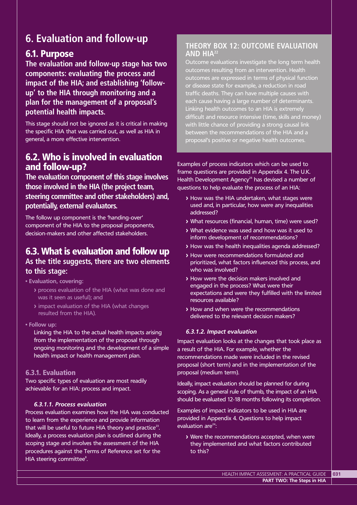# **6. Evaluation and follow-up**

# 6.1. Purpose

**The evaluation and follow-up stage has two components: evaluating the process and impact of the HIA; and establishing 'followup' to the HIA through monitoring and a plan for the management of a proposal's potential health impacts.**

This stage should not be ignored as it is critical in making the specific HIA that was carried out, as well as HIA in general, a more effective intervention.

# 6.2. Who is involved in evaluation and follow-up?

**The evaluation component of this stage involves those involved in the HIA (the project team, steering committee and other stakeholders) and, potentially, external evaluators.**

The follow up component is the 'handing-over' component of the HIA to the proposal proponents, decision-makers and other affected stakeholders.

# 6.3. What is evaluation and follow up **As the title suggests, there are two elements to this stage:**

**• Evaluation, covering:**

- **>** process evaluation of the HIA (what was done and was it seen as useful); and
- **>** impact evaluation of the HIA (what changes resulted from the HIA).
- **Follow up:**

Linking the HIA to the actual health impacts arising from the implementation of the proposal through ongoing monitoring and the development of a simple health impact or health management plan.

### 6.3.1. Evaluation

Two specific types of evaluation are most readily achievable for an HIA: process and impact.

#### *6.3.1.1. Process evaluation*

Process evaluation examines how the HIA was conducted to learn from the experience and provide information that will be useful to future HIA theory and practice $^{23}$ . Ideally, a process evaluation plan is outlined during the scoping stage and involves the assessment of the HIA procedures against the Terms of Reference set for the HIA steering committee<sup>8</sup>.

## **THEORY BOX 12: OUTCOME EVALUATION AND HIA22**

Outcome evaluations investigate the long term health outcomes resulting from an intervention. Health outcomes are expressed in terms of physical function or disease state for example, a reduction in road traffic deaths. They can have multiple causes with each cause having a large number of determinants. Linking health outcomes to an HIA is extremely difficult and resource intensive (time, skills and money) with little chance of providing a strong causal link between the recommendations of the HIA and a proposal's positive or negative health outcomes.

Examples of process indicators which can be used to frame questions are provided in Appendix 4. The U.K. Health Development Agency $^{24}$  has devised a number of questions to help evaluate the process of an HIA:

- **>** How was the HIA undertaken, what stages were used and, in particular, how were any inequalities addressed?
- **>** What resources (financial, human, time) were used?
- **>** What evidence was used and how was it used to inform development of recommendations?
- **>** How was the health inequalities agenda addressed?
- **>** How were recommendations formulated and prioritized, what factors influenced this process, and who was involved?
- **>** How were the decision makers involved and engaged in the process? What were their expectations and were they fulfilled with the limited resources available?
- **>** How and when were the recommendations delivered to the relevant decision makers?

#### *6.3.1.2. Impact evaluation*

Impact evaluation looks at the changes that took place as a result of the HIA. For example, whether the recommendations made were included in the revised proposal (short term) and in the implementation of the proposal (medium term).

Ideally, impact evaluation should be planned for during scoping. As a general rule of thumb, the impact of an HIA should be evaluated 12-18 months following its completion.

Examples of impact indicators to be used in HIA are provided in Appendix 4. Questions to help impact evaluation  $are^{24}$ :

**>** Were the recommendations accepted, when were they implemented and what factors contributed to this?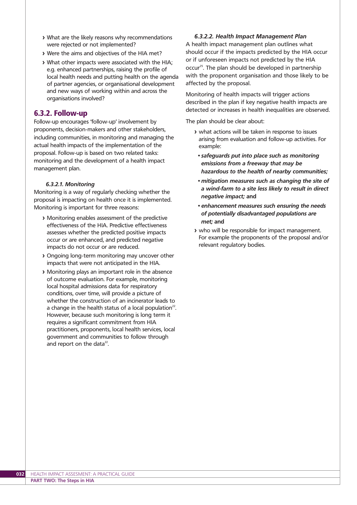- **>** What are the likely reasons why recommendations were rejected or not implemented?
- **>** Were the aims and objectives of the HIA met?
- **>** What other impacts were associated with the HIA; e.g. enhanced partnerships, raising the profile of local health needs and putting health on the agenda of partner agencies, or organisational development and new ways of working within and across the organisations involved?

### 6.3.2. Follow-up

Follow-up encourages 'follow-up' involvement by proponents, decision-makers and other stakeholders, including communities, in monitoring and managing the actual health impacts of the implementation of the proposal. Follow-up is based on two related tasks: monitoring and the development of a health impact management plan.

#### *6.3.2.1. Monitoring*

Monitoring is a way of regularly checking whether the proposal is impacting on health once it is implemented. Monitoring is important for three reasons:

- **>** Monitoring enables assessment of the predictive effectiveness of the HIA. Predictive effectiveness assesses whether the predicted positive impacts occur or are enhanced, and predicted negative impacts do not occur or are reduced.
- **>** Ongoing long-term monitoring may uncover other impacts that were not anticipated in the HIA.
- **>** Monitoring plays an important role in the absence of outcome evaluation. For example, monitoring local hospital admissions data for respiratory conditions, over time, will provide a picture of whether the construction of an incinerator leads to a change in the health status of a local population<sup>22</sup>. However, because such monitoring is long term it requires a significant commitment from HIA practitioners, proponents, local health services, local government and communities to follow through and report on the data<sup>22</sup>.

#### *6.3.2.2. Health Impact Management Plan*

A health impact management plan outlines what should occur if the impacts predicted by the HIA occur or if unforeseen impacts not predicted by the HIA occur<sup>25</sup>. The plan should be developed in partnership with the proponent organisation and those likely to be affected by the proposal.

Monitoring of health impacts will trigger actions described in the plan if key negative health impacts are detected or increases in health inequalities are observed.

The plan should be clear about:

- **>** what actions will be taken in response to issues arising from evaluation and follow-up activities. For example:
	- *safeguards put into place such as monitoring emissions from a freeway that may be hazardous to the health of nearby communities;*
	- *mitigation measures such as changing the site of a wind-farm to a site less likely to result in direct negative impact;* **and**
	- *enhancement measures such ensuring the needs of potentially disadvantaged populations are met;* **and**
- **>** who will be responsible for impact management. For example the proponents of the proposal and/or relevant regulatory bodies.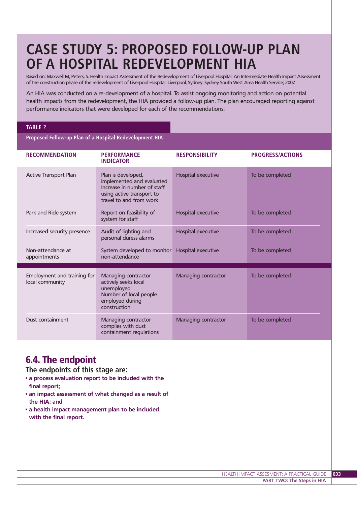# **CASE STUDY 5: PROPOSED FOLLOW-UP PLAN OF A HOSPITAL REDEVELOPMENT HIA**

Based on: Maxwell M, Peters, S. Health Impact Assessment of the Redevelopment of Liverpool Hospital: An Intermediate Health Impact Assessment of the construction phase of the redevelopment of Liverpool Hospital. Liverpool, Sydney: Sydney South West Area Health Service; 2007.

An HIA was conducted on a re-development of a hospital. To assist ongoing monitoring and action on potential health impacts from the redevelopment, the HIA provided a follow-up plan. The plan encouraged reporting against performance indicators that were developed for each of the recommendations:

#### **TABLE ?**

**Proposed Follow-up Plan of a Hospital Redevelopment HIA** 

| <b>RECOMMENDATION</b>                          | <b>PERFORMANCE</b><br><b>INDICATOR</b>                                                                                                 | <b>RESPONSIBILITY</b> | <b>PROGRESS/ACTIONS</b> |
|------------------------------------------------|----------------------------------------------------------------------------------------------------------------------------------------|-----------------------|-------------------------|
| <b>Active Transport Plan</b>                   | Plan is developed,<br>implemented and evaluated<br>Increase in number of staff<br>using active transport to<br>travel to and from work | Hospital executive    | To be completed         |
| Park and Ride system                           | Report on feasibility of<br>system for staff                                                                                           | Hospital executive    | To be completed         |
| Increased security presence                    | Audit of lighting and<br>personal duress alarms                                                                                        | Hospital executive    | To be completed         |
| Non-attendance at<br>appointments              | System developed to monitor<br>non-attendance                                                                                          | Hospital executive    | To be completed         |
| Employment and training for<br>local community | Managing contractor<br>actively seeks local<br>unemployed<br>Number of local people<br>employed during<br>construction                 | Managing contractor   | To be completed         |
| Dust containment                               | Managing contractor<br>complies with dust<br>containment regulations                                                                   | Managing contractor   | To be completed         |

# 6.4. The endpoint

**The endpoints of this stage are:**

- **a process evaluation report to be included with the final report;**
- **an impact assessment of what changed as a result of the HIA; and**
- **a health impact management plan to be included with the final report.**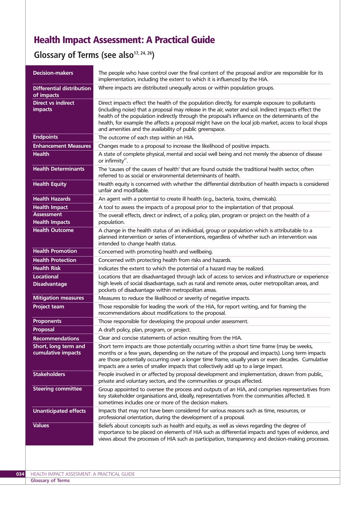# Health Impact Assessment: A Practical Guide

Glossary of Terms (see also<sup>17, 24, 26</sup>)

| <b>Decision-makers</b>                      | The people who have control over the final content of the proposal and/or are responsible for its<br>implementation, including the extent to which it is influenced by the HIA.                                                                                                                                                                                                                                                                                                 |
|---------------------------------------------|---------------------------------------------------------------------------------------------------------------------------------------------------------------------------------------------------------------------------------------------------------------------------------------------------------------------------------------------------------------------------------------------------------------------------------------------------------------------------------|
| Differential distribution<br>of impacts     | Where impacts are distributed unequally across or within population groups.                                                                                                                                                                                                                                                                                                                                                                                                     |
| <b>Direct vs indirect</b><br><b>impacts</b> | Direct impacts effect the health of the population directly, for example exposure to pollutants<br>(including noise) that a proposal may release in the air, water and soil. Indirect impacts effect the<br>health of the population indirectly through the proposal's influence on the determinants of the<br>health, for example the affects a proposal might have on the local job market, access to local shops<br>and amenities and the availability of public greenspace. |
| <b>Endpoints</b>                            | The outcome of each step within an HIA.                                                                                                                                                                                                                                                                                                                                                                                                                                         |
| <b>Enhancement Measures</b>                 | Changes made to a proposal to increase the likelihood of positive impacts.                                                                                                                                                                                                                                                                                                                                                                                                      |
| <b>Health</b>                               | A state of complete physical, mental and social well being and not merely the absence of disease<br>or infirmity <sup>27</sup> .                                                                                                                                                                                                                                                                                                                                                |
| <b>Health Determinants</b>                  | The 'causes of the causes of health' that are found outside the traditional health sector, often<br>referred to as social or environmental determinants of health.                                                                                                                                                                                                                                                                                                              |
| <b>Health Equity</b>                        | Health equity is concerned with whether the differential distribution of health impacts is considered<br>unfair and modifiable.                                                                                                                                                                                                                                                                                                                                                 |
| <b>Health Hazards</b>                       | An agent with a potential to create ill health (e.g., bacteria, toxins, chemicals).                                                                                                                                                                                                                                                                                                                                                                                             |
| <b>Health Impact</b>                        | A tool to assess the impacts of a proposal prior to the implantation of that proposal.                                                                                                                                                                                                                                                                                                                                                                                          |
| <b>Assessment</b>                           | The overall effects, direct or indirect, of a policy, plan, program or project on the health of a                                                                                                                                                                                                                                                                                                                                                                               |
| <b>Health Impacts</b>                       | population.                                                                                                                                                                                                                                                                                                                                                                                                                                                                     |
| <b>Health Outcome</b>                       | A change in the health status of an individual, group or population which is attributable to a<br>planned intervention or series of interventions, regardless of whether such an intervention was<br>intended to change health status.                                                                                                                                                                                                                                          |
| <b>Health Promotion</b>                     | Concerned with promoting health and wellbeing.                                                                                                                                                                                                                                                                                                                                                                                                                                  |
| <b>Health Protection</b>                    | Concerned with protecting health from risks and hazards.                                                                                                                                                                                                                                                                                                                                                                                                                        |
| <b>Health Risk</b>                          | Indicates the extent to which the potential of a hazard may be realized.                                                                                                                                                                                                                                                                                                                                                                                                        |
| <b>Locational</b><br><b>Disadvantage</b>    | Locations that are disadvantaged through lack of access to services and infrastructure or experience<br>high levels of social disadvantage, such as rural and remote areas, outer metropolitan areas, and<br>pockets of disadvantage within metropolitan areas.                                                                                                                                                                                                                 |
| <b>Mitigation measures</b>                  | Measures to reduce the likelihood or severity of negative impacts.                                                                                                                                                                                                                                                                                                                                                                                                              |
| <b>Project team</b>                         | Those responsible for leading the work of the HIA, for report writing, and for framing the<br>recommendations about modifications to the proposal.                                                                                                                                                                                                                                                                                                                              |
| <b>Proponents</b>                           | Those responsible for developing the proposal under assessment.                                                                                                                                                                                                                                                                                                                                                                                                                 |
| Proposal                                    | A draft policy, plan, program, or project.                                                                                                                                                                                                                                                                                                                                                                                                                                      |
| <b>Recommendations</b>                      | Clear and concise statements of action resulting from the HIA.                                                                                                                                                                                                                                                                                                                                                                                                                  |
| Short, long term and<br>cumulative impacts  | Short term impacts are those potentially occurring within a short time frame (may be weeks,<br>months or a few years, depending on the nature of the proposal and impacts). Long term impacts<br>are those potentially occurring over a longer time frame, usually years or even decades. Cumulative<br>impacts are a series of smaller impacts that collectively add up to a large impact.                                                                                     |
| <b>Stakeholders</b>                         | People involved in or affected by proposal development and implementation, drawn from public,<br>private and voluntary sectors, and the communities or groups affected.                                                                                                                                                                                                                                                                                                         |
| <b>Steering committee</b>                   | Group appointed to oversee the process and outputs of an HIA, and comprises representatives from<br>key stakeholder organisations and, ideally, representatives from the communities affected. It<br>sometimes includes one or more of the decision makers.                                                                                                                                                                                                                     |
| <b>Unanticipated effects</b>                | Impacts that may not have been considered for various reasons such as time, resources, or<br>professional orientation, during the development of a proposal.                                                                                                                                                                                                                                                                                                                    |
| <b>Values</b>                               | Beliefs about concepts such as health and equity, as well as views regarding the degree of<br>importance to be placed on elements of HIA such as differential impacts and types of evidence, and<br>views about the processes of HIA such as participation, transparency and decision-making processes.                                                                                                                                                                         |
|                                             |                                                                                                                                                                                                                                                                                                                                                                                                                                                                                 |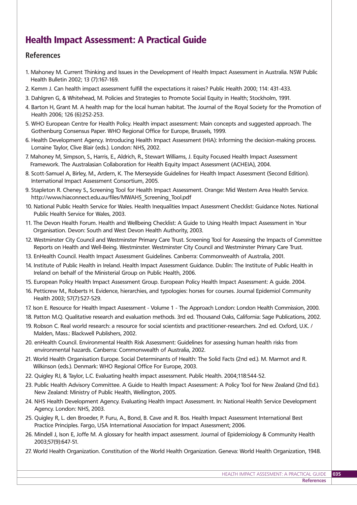# Health Impact Assessment: A Practical Guide

### **References**

- 1. Mahoney M. Current Thinking and Issues in the Development of Health Impact Assessment in Australia. NSW Public Health Bulletin 2002; 13 (7):167-169.
- 2. Kemm J. Can health impact assessment fulfill the expectations it raises? Public Health 2000; 114: 431-433.
- 3. Dahlgren G, & Whitehead, M. Policies and Strategies to Promote Social Equity in Health; Stockholm, 1991.
- 4. Barton H, Grant M. A health map for the local human habitat. The Journal of the Royal Society for the Promotion of Health 2006; 126 (6):252-253.
- 5. WHO European Centre for Health Policy. Health impact assessment: Main concepts and suggested approach. The Gothenburg Consensus Paper. WHO Regional Office for Europe, Brussels, 1999.
- 6. Health Development Agency. Introducing Health Impact Assessment (HIA): Informing the decision-making process. Lorraine Taylor, Clive Blair (eds.). London: NHS, 2002.
- 7. Mahoney M, Simpson, S., Harris, E., Aldrich, R., Stewart Williams, J. Equity Focused Health Impact Assessment Framework. The Australasian Collaboration for Health Equity Impact Assessment (ACHEIA), 2004.
- 8. Scott-Samuel A, Birley, M., Ardern, K. The Merseyside Guidelines for Health Impact Assessment (Second Edition). International Impact Assessment Consortium, 2005.
- 9. Stapleton R. Cheney S., Screening Tool for Health Impact Assessment. Orange: Mid Western Area Health Service. http://www.hiaconnect.edu.au/files/MWAHS\_Screening\_Tool.pdf
- 10. National Public Health Service for Wales. Health Inequalities Impact Assessment Checklist: Guidance Notes. National Public Health Service for Wales, 2003.
- 11. The Devon Health Forum. Health and Wellbeing Checklist: A Guide to Using Health Impact Assessment in Your Organisation. Devon: South and West Devon Health Authority, 2003.
- 12. Westminster City Council and Westminster Primary Care Trust. Screening Tool for Assessing the Impacts of Committee Reports on Health and Well-Being. Westminster. Westminster City Council and Westminster Primary Care Trust.
- 13. EnHealth Council. Health Impact Assessment Guidelines. Canberra: Commonwealth of Australia, 2001.
- 14. Institute of Public Health in Ireland. Health Impact Assessment Guidance. Dublin: The Institute of Public Health in Ireland on behalf of the Ministerial Group on Public Health, 2006.
- 15. European Policy Health Impact Assessment Group. European Policy Health Impact Assessment: A guide. 2004.
- 16. Petticrew M., Roberts H. Evidence, hierarchies, and typologies: horses for courses. Journal Epidemiol Community Health 2003; 57(7):527-529.
- 17. Ison E. Resource for Health Impact Assessment Volume 1 The Approach London: London Health Commission, 2000.
- 18. Patton M.Q. Qualitative research and evaluation methods. 3rd ed. Thousand Oaks, California: Sage Publications, 2002.
- 19. Robson C. Real world research: a resource for social scientists and practitioner-researchers. 2nd ed. Oxford, U.K. / Malden, Mass.: Blackwell Publishers, 2002.
- 20. enHealth Council. Environmental Health Risk Assessment: Guidelines for assessing human health risks from environmental hazards. Canberra: Commonwealth of Australia, 2002.
- 21. World Health Organisation Europe. Social Determinants of Health: The Solid Facts (2nd ed.). M. Marmot and R. Wilkinson (eds.). Denmark: WHO Regional Office For Europe, 2003.
- 22. Quigley RJ, & Taylor, L.C. Evaluating health impact assessment. Public Health. 2004;118:544-52.
- 23. Public Health Advisory Committee. A Guide to Health Impact Assessment: A Policy Tool for New Zealand (2nd Ed.). New Zealand: Ministry of Public Health, Wellington, 2005.
- 24. NHS Health Development Agency. Evaluating Health Impact Assessment. In: National Health Service Development Agency. London: NHS, 2003.
- 25. Quigley R, L. den Broeder, P. Furu, A., Bond, B. Cave and R. Bos. Health Impact Assessment International Best Practice Principles. Fargo, USA International Association for Impact Assessment; 2006.
- 26. Mindell J, Ison E, Joffe M. A glossary for health impact assessment. Journal of Epidemiology & Community Health 2003;57(9):647-51.
- 27. World Health Organization. Constitution of the World Health Organization. Geneva: World Health Organization, 1948.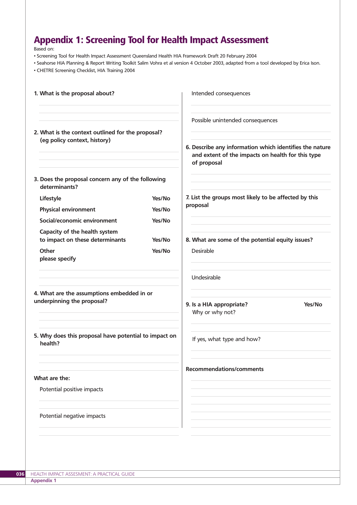# Appendix 1: Screening Tool for Health Impact Assessment

Based on:

- Screening Tool for Health Impact Assessment Queensland Health HIA Framework Draft 20 February 2004
- Seahorse HIA Planning & Report Writing Toolkit Salim Vohra et al version 4 October 2003, adapted from a tool developed by Erica Ison.

• CHETRE Screening Checklist, HIA Training 2004

| 1. What is the proposal about?                                           |        | Intended consequences                                                                                                       |
|--------------------------------------------------------------------------|--------|-----------------------------------------------------------------------------------------------------------------------------|
| 2. What is the context outlined for the proposal?                        |        | Possible unintended consequences                                                                                            |
| (eg policy context, history)                                             |        | 6. Describe any information which identifies the nature<br>and extent of the impacts on health for this type<br>of proposal |
| 3. Does the proposal concern any of the following<br>determinants?       |        |                                                                                                                             |
| Lifestyle                                                                | Yes/No | 7. List the groups most likely to be affected by this                                                                       |
| <b>Physical environment</b>                                              | Yes/No | proposal                                                                                                                    |
| Social/economic environment                                              | Yes/No |                                                                                                                             |
| Capacity of the health system<br>to impact on these determinants         | Yes/No | 8. What are some of the potential equity issues?                                                                            |
| Other<br>please specify                                                  | Yes/No | Desirable                                                                                                                   |
|                                                                          |        | Undesirable                                                                                                                 |
| 4. What are the assumptions embedded in or<br>underpinning the proposal? |        | 9. Is a HIA appropriate?<br>Yes/No<br>Why or why not?                                                                       |
| 5. Why does this proposal have potential to impact on<br>health?         |        | If yes, what type and how?                                                                                                  |
|                                                                          |        | <b>Recommendations/comments</b>                                                                                             |
| What are the:                                                            |        |                                                                                                                             |
| Potential positive impacts                                               |        |                                                                                                                             |
| Potential negative impacts                                               |        |                                                                                                                             |
|                                                                          |        |                                                                                                                             |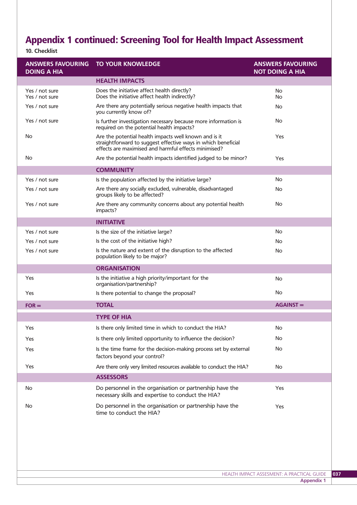# Appendix 1 continued: Screening Tool for Health Impact Assessment

# **10. Checklist**

| <b>ANSWERS FAVOURING</b><br><b>DOING A HIA</b> | <b>TO YOUR KNOWLEDGE</b>                                                                                                                                                       | <b>ANSWERS FAVOURING</b><br><b>NOT DOING A HIA</b> |
|------------------------------------------------|--------------------------------------------------------------------------------------------------------------------------------------------------------------------------------|----------------------------------------------------|
|                                                | <b>HEALTH IMPACTS</b>                                                                                                                                                          |                                                    |
| Yes / not sure                                 | Does the initiative affect health directly?                                                                                                                                    | No                                                 |
| Yes / not sure                                 | Does the initiative affect health indirectly?                                                                                                                                  | No                                                 |
| Yes / not sure                                 | Are there any potentially serious negative health impacts that<br>you currently know of?                                                                                       | No                                                 |
| Yes / not sure                                 | Is further investigation necessary because more information is<br>required on the potential health impacts?                                                                    | No                                                 |
| No                                             | Are the potential health impacts well known and is it<br>straightforward to suggest effective ways in which beneficial<br>effects are maximised and harmful effects minimised? | Yes                                                |
| No                                             | Are the potential health impacts identified judged to be minor?                                                                                                                | Yes                                                |
|                                                | <b>COMMUNITY</b>                                                                                                                                                               |                                                    |
| Yes / not sure                                 | Is the population affected by the initiative large?                                                                                                                            | No                                                 |
| Yes / not sure                                 | Are there any socially excluded, vulnerable, disadvantaged<br>groups likely to be affected?                                                                                    | No                                                 |
| Yes / not sure                                 | Are there any community concerns about any potential health<br>impacts?                                                                                                        | No                                                 |
|                                                | <b>INITIATIVE</b>                                                                                                                                                              |                                                    |
| Yes / not sure                                 | Is the size of the initiative large?                                                                                                                                           | No                                                 |
| Yes / not sure                                 | Is the cost of the initiative high?                                                                                                                                            | No                                                 |
| Yes / not sure                                 | Is the nature and extent of the disruption to the affected<br>population likely to be major?                                                                                   | No                                                 |
|                                                | <b>ORGANISATION</b>                                                                                                                                                            |                                                    |
| Yes                                            | Is the initiative a high priority/important for the<br>organisation/partnership?                                                                                               | No                                                 |
| Yes                                            | Is there potential to change the proposal?                                                                                                                                     | No                                                 |
| $FOR =$                                        | <b>TOTAL</b>                                                                                                                                                                   | $AGAINST =$                                        |
|                                                | <b>TYPE OF HIA</b>                                                                                                                                                             |                                                    |
|                                                |                                                                                                                                                                                |                                                    |
|                                                |                                                                                                                                                                                |                                                    |
| Yes                                            | Is there only limited time in which to conduct the HIA?                                                                                                                        | No                                                 |
| Yes<br>Yes                                     | Is there only limited opportunity to influence the decision?<br>Is the time frame for the decision-making process set by external                                              | No<br>No                                           |
|                                                | factors beyond your control?                                                                                                                                                   |                                                    |
| Yes                                            | Are there only very limited resources available to conduct the HIA?                                                                                                            | No                                                 |
| No                                             | <b>ASSESSORS</b><br>Do personnel in the organisation or partnership have the<br>necessary skills and expertise to conduct the HIA?                                             | Yes                                                |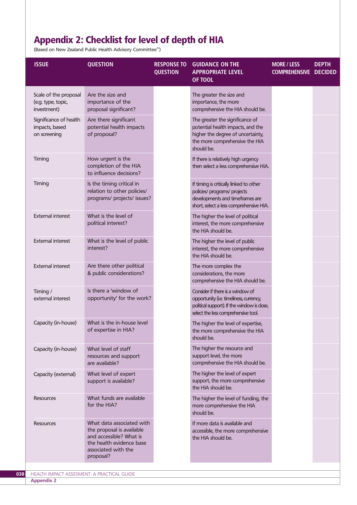# Appendix 2: Checklist for level of depth of HIA

(Based on New Zealand Public Health Advisory Committee22)

| <b>ISSUE</b>                                               | <b>QUESTION</b>                                                                                                                                   | <b>RESPONSE TO</b><br><b>QUESTION</b> | <b>GUIDANCE ON THE</b><br><b>APPROPRIATE LEVEL</b><br>OF TOOL                                                                                                     | <b>MORE / LESS</b><br><b>COMPREHENSIVE DECIDED</b> | <b>DEPTH</b> |
|------------------------------------------------------------|---------------------------------------------------------------------------------------------------------------------------------------------------|---------------------------------------|-------------------------------------------------------------------------------------------------------------------------------------------------------------------|----------------------------------------------------|--------------|
| Scale of the proposal<br>(e.g. type, topic,<br>investment) | Are the size and<br>importance of the<br>proposal significant?                                                                                    |                                       | The greater the size and<br>importance, the more<br>comprehensive the HIA should be.                                                                              |                                                    |              |
| Significance of health<br>impacts, based<br>on screening   | Are there significant<br>potential health impacts<br>of proposal?                                                                                 |                                       | The greater the significance of<br>potential health impacts, and the<br>higher the degree of uncertainty,<br>the more comprehensive the HIA<br>should be.         |                                                    |              |
| Timing                                                     | How urgent is the<br>completion of the HIA<br>to influence decisions?                                                                             |                                       | If there is relatively high urgency<br>then select a less comprehensive HIA.                                                                                      |                                                    |              |
| Timing                                                     | Is the timing critical in<br>relation to other policies/<br>programs/ projects/ issues?                                                           |                                       | If timing is critically linked to other<br>policies/ programs/ projects<br>developments and timeframes are<br>short, select a less comprehensive HIA.             |                                                    |              |
| <b>External interest</b>                                   | What is the level of<br>political interest?                                                                                                       |                                       | The higher the level of political<br>interest, the more comprehensive<br>the HIA should be.                                                                       |                                                    |              |
| <b>External interest</b>                                   | What is the level of public<br>interest?                                                                                                          |                                       | The higher the level of public<br>interest, the more comprehensive<br>the HIA should be.                                                                          |                                                    |              |
| <b>External interest</b>                                   | Are there other political<br>& public considerations?                                                                                             |                                       | The more complex the<br>considerations, the more<br>comprehensive the HIA should be.                                                                              |                                                    |              |
| Timing /<br>external interest                              | Is there a 'window of<br>opportunity' for the work?                                                                                               |                                       | Consider if there is a window of<br>opportunity (i.e. timeliness, currency,<br>political support). If the window is close,<br>select the less comprehensive tool. |                                                    |              |
| Capacity (in-house)                                        | What is the in-house level<br>of expertise in HIA?                                                                                                |                                       | The higher the level of expertise,<br>the more comprehensive the HIA<br>should be.                                                                                |                                                    |              |
| Capacity (in-house)                                        | What level of staff<br>resources and support<br>are available?                                                                                    |                                       | The higher the resource and<br>support level, the more<br>comprehensive the HIA should be.                                                                        |                                                    |              |
| Capacity (external)                                        | What level of expert<br>support is available?                                                                                                     |                                       | The higher the level of expert<br>support, the more comprehensive<br>the HIA should be.                                                                           |                                                    |              |
| <b>Resources</b>                                           | What funds are available<br>for the HIA?                                                                                                          |                                       | The higher the level of funding, the<br>more comprehensive the HIA<br>should be.                                                                                  |                                                    |              |
| <b>Resources</b>                                           | What data associated with<br>the proposal is available<br>and accessible? What is<br>the health evidence base<br>associated with the<br>proposal? |                                       | If more data is available and<br>accessible, the more comprehensive<br>the HIA should be.                                                                         |                                                    |              |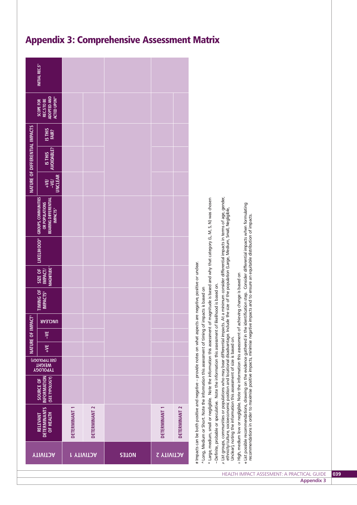|                                                                                                                                                                                                                                                                                                                                                                                                |                                                  |                                              |    | <b>NATURE OF IMPACT</b> | 巴              |                                   |                                              |                                                                                                                                                                                                                                   |                                   | NATURE OF DIFFERENTIAL IMPACTS |                        |                                                                                         |                |
|------------------------------------------------------------------------------------------------------------------------------------------------------------------------------------------------------------------------------------------------------------------------------------------------------------------------------------------------------------------------------------------------|--------------------------------------------------|----------------------------------------------|----|-------------------------|----------------|-----------------------------------|----------------------------------------------|-----------------------------------------------------------------------------------------------------------------------------------------------------------------------------------------------------------------------------------|-----------------------------------|--------------------------------|------------------------|-----------------------------------------------------------------------------------------|----------------|
| <b>DETERMINANTS</b><br>OF HEALTH<br><b>RELEVANT</b>                                                                                                                                                                                                                                                                                                                                            | <b>NFORMATION</b><br>(SEE TYPOLOGY)<br>SOURCE OF | (SEE TYPOLOGY)<br><b>MEIGHL<br/>LAbOFOGA</b> | ¥F | $\frac{1}{2}$           | <b>UNCLEAR</b> | TIMING OF<br>IMPACTS <sup>6</sup> | MAGNITUDE <sup>?</sup><br>SIZE OF<br>IMPACT/ | LIKELIHOOD <sup>8</sup> GROUPS, COMMUNITIES<br><b>BEARING DIFFERENTIAL</b><br><b>OR POPULATIONS</b><br><b>IMPACTS</b> <sup>9</sup>                                                                                                | <b>UNCLEAR</b><br>$-YE$<br>$+VEV$ | AVOIDABLE?<br>IS THIS          | <b>ISTHIS</b><br>FAIR? | <b>ADOPTED AND</b><br><b>ACTED UPON<sup>10</sup></b><br>REC.S TO BE<br><b>SCOPE FOR</b> | INITIAL REC.S" |
| DETERMINANT 1                                                                                                                                                                                                                                                                                                                                                                                  |                                                  |                                              |    |                         |                |                                   |                                              |                                                                                                                                                                                                                                   |                                   |                                |                        |                                                                                         |                |
| DETERMINANT <sub>2</sub>                                                                                                                                                                                                                                                                                                                                                                       |                                                  |                                              |    |                         |                |                                   |                                              |                                                                                                                                                                                                                                   |                                   |                                |                        |                                                                                         |                |
|                                                                                                                                                                                                                                                                                                                                                                                                |                                                  |                                              |    |                         |                |                                   |                                              |                                                                                                                                                                                                                                   |                                   |                                |                        |                                                                                         |                |
| DETERMINANT 1                                                                                                                                                                                                                                                                                                                                                                                  |                                                  |                                              |    |                         |                |                                   |                                              |                                                                                                                                                                                                                                   |                                   |                                |                        |                                                                                         |                |
| DETERMINANT <sub>2</sub>                                                                                                                                                                                                                                                                                                                                                                       |                                                  |                                              |    |                         |                |                                   |                                              |                                                                                                                                                                                                                                   |                                   |                                |                        |                                                                                         |                |
| # Impacts can be both positive and negative - provide notes on what aspects are negative, positive or unclear.<br>~ Definite, probable or speculative. Note the information this assessment of likelihood is based on.<br>^ Long, Medium or Short. Note the information this assessment of timing of impacts is based on                                                                       |                                                  |                                              |    |                         |                |                                   |                                              | * Large, medium, small or negligible. Note the information this assessment of magnitude is based and why that category (L, M, S, N) was chosen                                                                                    |                                   |                                |                        |                                                                                         |                |
| Unclear), noting the information this assessment of size is based on.                                                                                                                                                                                                                                                                                                                          |                                                  |                                              |    |                         |                |                                   |                                              | x List groups, communities or populations who may bear differential impacts. At a minimum consider differential impacts in terms of age, gender,<br>ethnicity/culture, socioeconomic position and locational disadvantage. Includ |                                   |                                |                        |                                                                                         |                |
| « List possible recommendations, drawing on the evidence gathered in the identification step. Consider differential impacts when formulating<br>recommendations in order to maximise positive impacts, minimise negative impacts and to ensure an equitable distribution of impacts.<br># High, medium low or negligible. Note the information this assessment of achieving change is based on |                                                  |                                              |    |                         |                |                                   |                                              |                                                                                                                                                                                                                                   |                                   |                                |                        |                                                                                         |                |
|                                                                                                                                                                                                                                                                                                                                                                                                |                                                  |                                              |    |                         |                |                                   |                                              |                                                                                                                                                                                                                                   |                                   |                                |                        |                                                                                         |                |
|                                                                                                                                                                                                                                                                                                                                                                                                |                                                  |                                              |    |                         |                |                                   |                                              |                                                                                                                                                                                                                                   |                                   |                                |                        |                                                                                         |                |

# Appendix 3: Comprehensive Assessment Matrix

HEALTH IMPACT ASSESMENT: A PRACTICAL GUIDE **039**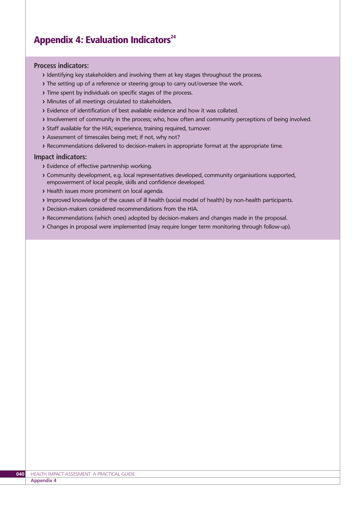# Appendix 4: Evaluation Indicators $24$

#### **Process indicators:**

- **>** Identifying key stakeholders and involving them at key stages throughout the process.
- **>** The setting up of a reference or steering group to carry out/oversee the work.
- **>** Time spent by individuals on specific stages of the process.
- **>** Minutes of all meetings circulated to stakeholders.
- **>** Evidence of identification of best available evidence and how it was collated.
- **>** Involvement of community in the process; who, how often and community perceptions of being involved.
- **>** Staff available for the HIA; experience, training required, turnover.
- **>** Assessment of timescales being met; if not, why not?
- **>** Recommendations delivered to decision-makers in appropriate format at the appropriate time.

#### **Impact indicators:**

- **>** Evidence of effective partnership working.
- **>** Community development, e.g. local representatives developed, community organisations supported, empowerment of local people, skills and confidence developed.
- **>** Health issues more prominent on local agenda.
- **>** Improved knowledge of the causes of ill health (social model of health) by non-health participants.
- **>** Decision-makers considered recommendations from the HIA.
- **>** Recommendations (which ones) adopted by decision-makers and changes made in the proposal.
- **>** Changes in proposal were implemented (may require longer term monitoring through follow-up).